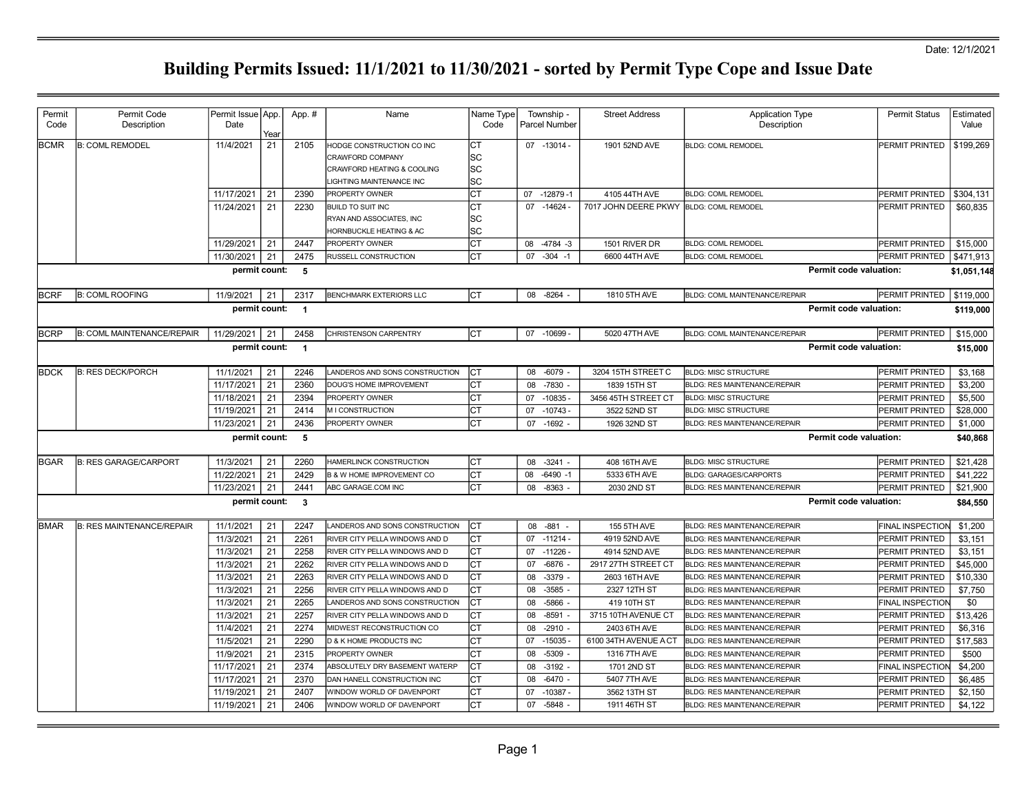| Permit<br>Code | Permit Code<br>Description        | Permit Issue   App.<br>Date | Year     | App. #                   | Name                                                                                                    | Name Type<br>Code       |          | Township -<br>Parcel Number | <b>Street Address</b>       | <b>Application Type</b><br>Description                                     | <b>Permit Status</b>               | Estimated<br>Value |
|----------------|-----------------------------------|-----------------------------|----------|--------------------------|---------------------------------------------------------------------------------------------------------|-------------------------|----------|-----------------------------|-----------------------------|----------------------------------------------------------------------------|------------------------------------|--------------------|
| <b>BCMR</b>    | <b>B: COML REMODEL</b>            | 11/4/2021                   | 21       | 2105                     | HODGE CONSTRUCTION CO INC<br>CRAWFORD COMPANY<br>CRAWFORD HEATING & COOLING<br>LIGHTING MAINTENANCE INC | СT<br>lSС<br>lsc<br>lsc |          | 07 -13014 -                 | 1901 52ND AVE               | <b>BLDG: COML REMODEL</b>                                                  | PERMIT PRINTED                     | \$199,269          |
|                |                                   | 11/17/2021                  | 21       | 2390                     | PROPERTY OWNER                                                                                          | СT                      |          | 07 -12879 -1                | 4105 44TH AVE               | <b>BLDG: COML REMODEL</b>                                                  | PERMIT PRINTED                     | \$304,131          |
|                |                                   | 11/24/2021                  | 21       | 2230                     | BUILD TO SUIT INC<br>RYAN AND ASSOCIATES, INC<br>HORNBUCKLE HEATING & AC                                | СT<br>SС<br>SC          | 07       | $-14624$                    | 7017 JOHN DEERE PKWY        | <b>BLDG: COML REMODEL</b>                                                  | PERMIT PRINTED                     | \$60,835           |
|                |                                   | 11/29/2021                  | 21       | 2447                     | PROPERTY OWNER                                                                                          | lст                     | 08       | $-4784 - 3$                 | 1501 RIVER DR               | <b>BLDG: COML REMODEL</b>                                                  | PERMIT PRINTED                     | \$15,000           |
|                |                                   | 11/30/2021                  | 21       | 2475                     | RUSSELL CONSTRUCTION                                                                                    | СT                      | 07       | $-304 - 1$                  | 6600 44TH AVE               | <b>BLDG: COML REMODEL</b>                                                  | PERMIT PRINTED                     | \$471,913          |
|                |                                   | permit count:               |          | - 5                      |                                                                                                         |                         |          |                             |                             |                                                                            | Permit code valuation:             | \$1,051,148        |
| <b>BCRF</b>    | <b>B: COML ROOFING</b>            | 11/9/2021                   | 21       | 2317                     | <b>BENCHMARK EXTERIORS LLC</b>                                                                          | СT                      |          | 08 -8264 -                  | 1810 5TH AVE                | <b>BLDG: COML MAINTENANCE/REPAIR</b>                                       | PERMIT PRINTED                     | \$119,000          |
|                |                                   | permit count:               |          | $\blacksquare$           |                                                                                                         |                         |          |                             |                             |                                                                            | Permit code valuation:             | \$119,000          |
| <b>BCRP</b>    | <b>B: COML MAINTENANCE/REPAIR</b> | 11/29/2021                  | 21       | 2458                     | <b>CHRISTENSON CARPENTRY</b>                                                                            | IСТ                     |          | 07 -10699 -                 | 5020 47TH AVE               | <b>BLDG: COML MAINTENANCE/REPAIR</b>                                       | PERMIT PRINTED                     | \$15,000           |
|                |                                   | permit count:               |          | $\overline{\phantom{1}}$ |                                                                                                         |                         |          |                             |                             |                                                                            | Permit code valuation:             | \$15,000           |
| <b>BDCK</b>    | <b>B: RES DECK/PORCH</b>          | 11/1/2021                   | 21       | 2246                     | LANDEROS AND SONS CONSTRUCTION                                                                          | СT                      | 08       | $-6079$                     | 3204 15TH STREET C          | <b>BLDG: MISC STRUCTURE</b>                                                | PERMIT PRINTED                     | \$3,168            |
|                |                                   | 11/17/2021                  | 21       | 2360                     | DOUG'S HOME IMPROVEMENT                                                                                 | СT                      | 08       | $-7830 -$                   | 1839 15TH ST                | <b>BLDG: RES MAINTENANCE/REPAIR</b>                                        | PERMIT PRINTED                     | \$3,200            |
|                |                                   | 11/18/2021                  | 21       | 2394                     | PROPERTY OWNER                                                                                          | СT                      | 07       | $-10835 -$                  | 3456 45TH STREET CT         | <b>BLDG: MISC STRUCTURE</b>                                                | PERMIT PRINTED                     | \$5,500            |
|                |                                   | 11/19/2021                  | 21       | 2414                     | M I CONSTRUCTION                                                                                        | Iст                     | 07       | $-10743 -$                  | 3522 52ND ST                | <b>BLDG: MISC STRUCTURE</b>                                                | PERMIT PRINTED                     | \$28,000           |
|                |                                   | 11/23/2021                  | 21       | 2436                     | PROPERTY OWNER                                                                                          | СT                      |          | 07 -1692                    | 1926 32ND ST                | <b>BLDG: RES MAINTENANCE/REPAIR</b>                                        | PERMIT PRINTED                     | \$1,000            |
|                |                                   | permit count:               |          | 5                        |                                                                                                         |                         |          |                             |                             |                                                                            | Permit code valuation:             | \$40,868           |
| IBGAR          | <b>B: RES GARAGE/CARPORT</b>      | 11/3/2021                   | 21       | 2260                     | HAMERLINCK CONSTRUCTION                                                                                 | CТ                      | 08       | $-3241$                     | 408 16TH AVE                | <b>BLDG: MISC STRUCTURE</b>                                                | PERMIT PRINTED                     | \$21,428           |
|                |                                   | 11/22/2021                  | 21       | 2429                     | <b>B &amp; W HOME IMPROVEMENT CO</b>                                                                    | СT                      | 80       | $-6490 -1$                  | 5333 6TH AVE                | <b>BLDG: GARAGES/CARPORTS</b>                                              | PERMIT PRINTED                     | \$41,222           |
|                |                                   | 11/23/2021                  | 21       | 2441                     | ABC GARAGE.COM INC                                                                                      | СT                      | 08       | $-8363$                     | 2030 2ND ST                 | <b>BLDG: RES MAINTENANCE/REPAIR</b>                                        | PERMIT PRINTED                     | \$21,900           |
|                |                                   | permit count:               |          | $\mathbf{3}$             |                                                                                                         |                         |          |                             |                             |                                                                            | Permit code valuation:             | \$84,550           |
| <b>IBMAR</b>   | <b>B: RES MAINTENANCE/REPAIR</b>  | 11/1/2021                   | 21       | 2247                     | LANDEROS AND SONS CONSTRUCTION                                                                          | IСТ                     | 08       | $-881$                      | 155 5TH AVE                 | <b>BLDG: RES MAINTENANCE/REPAIR</b>                                        | <b>FINAL INSPECTION</b>            | \$1,200            |
|                |                                   | 11/3/2021                   | 21       | 2261                     | RIVER CITY PELLA WINDOWS AND D                                                                          | СT                      |          | 07 -11214 -                 | 4919 52ND AVE               | <b>BLDG: RES MAINTENANCE/REPAIR</b>                                        | PERMIT PRINTED                     | \$3,151            |
|                |                                   | 11/3/2021                   | 21       | 2258                     | RIVER CITY PELLA WINDOWS AND D                                                                          | СT                      | 07       | $-11226$                    | 4914 52ND AVE               | <b>BLDG: RES MAINTENANCE/REPAIR</b>                                        | PERMIT PRINTED                     | \$3,151            |
|                |                                   | 11/3/2021                   | 21       | 2262                     | RIVER CITY PELLA WINDOWS AND D                                                                          | СT                      | 07       | $-6876$                     | 2917 27TH STREET CT         | <b>BLDG: RES MAINTENANCE/REPAIR</b>                                        | PERMIT PRINTED                     | \$45,000           |
|                |                                   | 11/3/2021                   | 21       | 2263                     | RIVER CITY PELLA WINDOWS AND D                                                                          | СT                      | 08       | $-3379$                     | 2603 16TH AVE               | <b>BLDG: RES MAINTENANCE/REPAIR</b>                                        | PERMIT PRINTED                     | \$10,330           |
|                |                                   | 11/3/2021<br>11/3/2021      | 21<br>21 | 2256<br>2265             | RIVER CITY PELLA WINDOWS AND D<br>LANDEROS AND SONS CONSTRUCTION                                        | lст<br>СT               | 08<br>08 | $-3585$<br>$-5866$ -        | 2327 12TH ST<br>419 10TH ST | <b>BLDG: RES MAINTENANCE/REPAIR</b><br><b>BLDG: RES MAINTENANCE/REPAIR</b> | PERMIT PRINTED<br>FINAL INSPECTION | \$7,750<br>\$0     |
|                |                                   | 11/3/2021                   | 21       | 2257                     | RIVER CITY PELLA WINDOWS AND D                                                                          | Iст                     | 08       | $-8591$                     | 3715 10TH AVENUE CT         | <b>BLDG: RES MAINTENANCE/REPAIR</b>                                        | PERMIT PRINTED                     | \$13.426           |
|                |                                   | 11/4/2021                   | 21       | 2274                     | MIDWEST RECONSTRUCTION CO                                                                               | СT                      | 08       | $-2910 -$                   | 2403 6TH AVE                | <b>BLDG: RES MAINTENANCE/REPAIR</b>                                        | PERMIT PRINTED                     | \$6,316            |
|                |                                   | 11/5/2021                   | 21       | 2290                     | D & K HOME PRODUCTS INC                                                                                 | СT                      | 07       | $-15035$                    | 6100 34TH AVENUE A CT       | BLDG: RES MAINTENANCE/REPAIR                                               | PERMIT PRINTED                     | \$17,583           |
|                |                                   | 11/9/2021                   | 21       | 2315                     | PROPERTY OWNER                                                                                          | СT                      | 08       | $-5309$                     | 1316 7TH AVE                | BLDG: RES MAINTENANCE/REPAIR                                               | PERMIT PRINTED                     | \$500              |
|                |                                   | 11/17/2021                  | 21       | 2374                     | ABSOLUTELY DRY BASEMENT WATERP                                                                          | IСТ                     | 08       | $-3192$                     | 1701 2ND ST                 | <b>BLDG: RES MAINTENANCE/REPAIR</b>                                        | <b>FINAL INSPECTION</b>            | \$4,200            |
|                |                                   | 11/17/2021                  | 21       | 2370                     | DAN HANELL CONSTRUCTION INC                                                                             | СT                      | 08       | $-6470 -$                   | 5407 7TH AVE                | <b>BLDG: RES MAINTENANCE/REPAIR</b>                                        | PERMIT PRINTED                     | \$6,485            |
|                |                                   | 11/19/2021                  | 21       | 2407                     | WINDOW WORLD OF DAVENPORT                                                                               | СT                      | 07       | $-10387 -$                  | 3562 13TH ST                | <b>BLDG: RES MAINTENANCE/REPAIR</b>                                        | PERMIT PRINTED                     | \$2,150            |
|                |                                   | 11/19/2021                  | 21       | 2406                     | WINDOW WORLD OF DAVENPORT                                                                               | lст                     |          | 07 - 5848                   | 1911 46TH ST                | <b>BLDG: RES MAINTENANCE/REPAIR</b>                                        | PERMIT PRINTED                     | \$4,122            |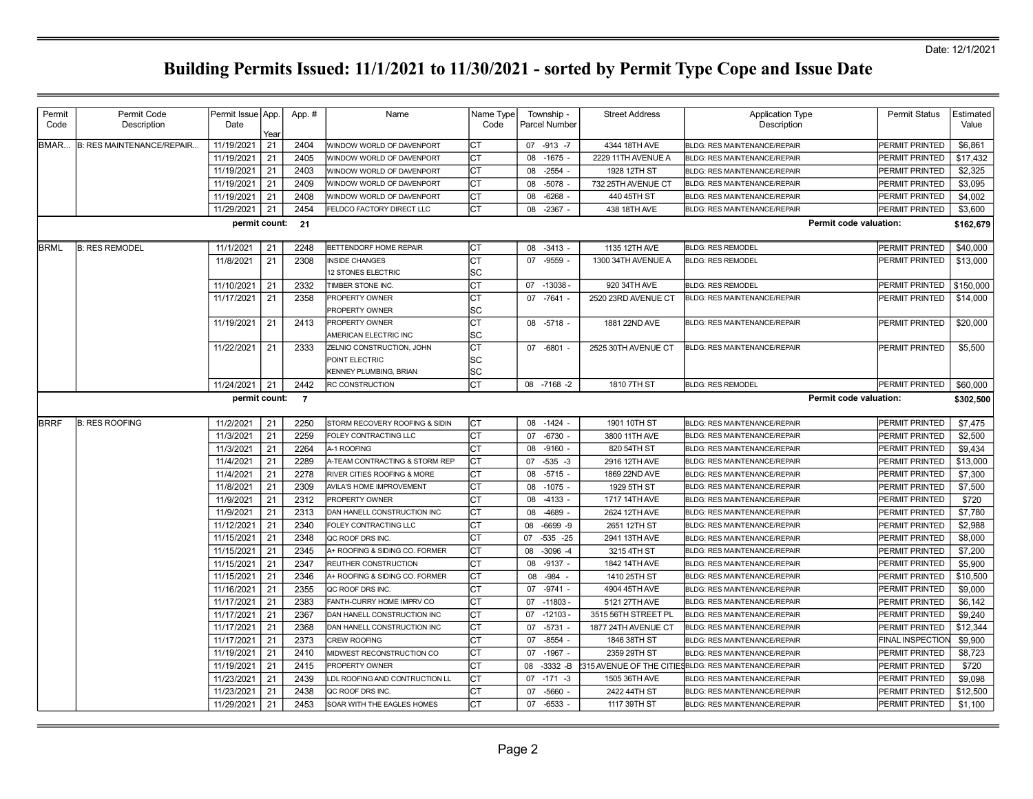| Permit      | Permit Code               | Permit Issue App. |            | App. #         | Name                           | Name Type | Township -           | <b>Street Address</b> | <b>Application Type</b>                               | <b>Permit Status</b>    | Estimated |
|-------------|---------------------------|-------------------|------------|----------------|--------------------------------|-----------|----------------------|-----------------------|-------------------------------------------------------|-------------------------|-----------|
| Code        | Description               | Date              |            |                |                                | Code      | <b>Parcel Number</b> |                       | Description                                           |                         | Value     |
| BMAR        | B: RES MAINTENANCE/REPAIR | 11/19/2021        | Year<br>21 | 2404           | WINDOW WORLD OF DAVENPORT      | СT        | 07 -913 -7           | 4344 18TH AVE         | <b>BLDG: RES MAINTENANCE/REPAIR</b>                   | PERMIT PRINTED          | \$6,861   |
|             |                           | 11/19/2021        | 21         | 2405           | WINDOW WORLD OF DAVENPORT      | СT        | $-1675 -$<br>08      | 2229 11TH AVENUE A    | <b>BLDG: RES MAINTENANCE/REPAIR</b>                   | PERMIT PRINTED          | \$17,432  |
|             |                           | 11/19/2021        | 21         | 2403           | WINDOW WORLD OF DAVENPORT      | Iст       | $-2554 -$<br>08      | 1928 12TH ST          | <b>BLDG: RES MAINTENANCE/REPAIR</b>                   | <b>PERMIT PRINTED</b>   | \$2,325   |
|             |                           | 11/19/2021        | 21         | 2409           | WINDOW WORLD OF DAVENPORT      | Iст       | $-5078 -$<br>08      | 732 25TH AVENUE CT    | <b>BLDG: RES MAINTENANCE/REPAIR</b>                   | <b>PERMIT PRINTED</b>   | \$3,095   |
|             |                           | 11/19/2021        | 21         | 2408           | WINDOW WORLD OF DAVENPORT      | Iст       | $-6268$<br>80        | 440 45TH ST           | <b>BLDG: RES MAINTENANCE/REPAIR</b>                   | <b>PERMIT PRINTED</b>   | \$4.002   |
|             |                           | 11/29/2021        | 21         | 2454           | FELDCO FACTORY DIRECT LLC      | IСТ       | $-2367 -$<br>08      | 438 18TH AVE          | <b>BLDG: RES MAINTENANCE/REPAIR</b>                   | PERMIT PRINTED          | \$3,600   |
|             |                           | permit count:     |            | 21             |                                |           |                      |                       | Permit code valuation:                                |                         | \$162,679 |
| <b>BRML</b> | <b>B: RES REMODEL</b>     | 11/1/2021         | 21         | 2248           | BETTENDORF HOME REPAIR         | Iст       | $-3413 -$<br>08      | 1135 12TH AVE         | <b>BLDG: RES REMODEL</b>                              | <b>PERMIT PRINTED</b>   | \$40,000  |
|             |                           | 11/8/2021         | 21         | 2308           | <b>NSIDE CHANGES</b>           | СT        | 07 -9559 -           | 1300 34TH AVENUE A    | <b>BLDG: RES REMODEL</b>                              | PERMIT PRINTED          | \$13,000  |
|             |                           |                   |            |                | 12 STONES ELECTRIC             | SC        |                      |                       |                                                       |                         |           |
|             |                           | 11/10/2021        | 21         | 2332           | TIMBER STONE INC.              | Iст       | 07 -13038 -          | 920 34TH AVE          | <b>BLDG: RES REMODEL</b>                              | PERMIT PRINTED          | \$150,000 |
|             |                           | 11/17/2021        | 21         | 2358           | PROPERTY OWNER                 | IСТ       | 07 -7641 -           | 2520 23RD AVENUE CT   | BLDG: RES MAINTENANCE/REPAIR                          | PERMIT PRINTED          | \$14,000  |
|             |                           |                   |            |                | PROPERTY OWNER                 | SC        |                      |                       |                                                       |                         |           |
|             |                           | 11/19/2021        | 21         | 2413           | PROPERTY OWNER                 | Iст       | 08 -5718 -           | 1881 22ND AVE         | BLDG: RES MAINTENANCE/REPAIR                          | <b>PERMIT PRINTED</b>   | \$20,000  |
|             |                           |                   |            |                | AMERICAN ELECTRIC INC          | lsc       |                      |                       |                                                       |                         |           |
|             |                           | 11/22/2021        | 21         | 2333           | ZELNIO CONSTRUCTION, JOHN      | Iст       | 07 -6801 -           | 2525 30TH AVENUE CT   | <b>BLDG: RES MAINTENANCE/REPAIR</b>                   | PERMIT PRINTED          | \$5,500   |
|             |                           |                   |            |                | POINT ELECTRIC                 | lsc       |                      |                       |                                                       |                         |           |
|             |                           |                   |            |                | KENNEY PLUMBING, BRIAN         | lsc       |                      |                       |                                                       |                         |           |
|             |                           | 11/24/2021        | 21         | 2442           | RC CONSTRUCTION                | Іст       | 08 -7168 -2          | 1810 7TH ST           | <b>BLDG: RES REMODEL</b>                              | PERMIT PRINTED          | \$60,000  |
|             |                           | permit count:     |            | $\overline{7}$ |                                |           |                      |                       | <b>Permit code valuation:</b>                         |                         | \$302,500 |
| <b>BRRF</b> | <b>B: RES ROOFING</b>     | 11/2/2021         | 21         | 2250           | STORM RECOVERY ROOFING & SIDIN | Iст       | 08 -1424 -           | 1901 10TH ST          | BLDG: RES MAINTENANCE/REPAIR                          | PERMIT PRINTED          | \$7,475   |
|             |                           | 11/3/2021         | 21         | 2259           | FOLEY CONTRACTING LLC          | CT        | $-6730 -$<br>07      | 3800 11TH AVE         | <b>BLDG: RES MAINTENANCE/REPAIR</b>                   | PERMIT PRINTED          | \$2,500   |
|             |                           | 11/3/2021         | 21         | 2264           | <b>A-1 ROOFING</b>             | IСТ       | 08<br>$-9160 -$      | 820 54TH ST           | <b>BLDG: RES MAINTENANCE/REPAIR</b>                   | PERMIT PRINTED          | \$9,434   |
|             |                           | 11/4/2021         | 21         | 2289           | A-TEAM CONTRACTING & STORM REP | IСТ       | $-535 - 3$<br>07     | 2916 12TH AVE         | <b>BLDG: RES MAINTENANCE/REPAIR</b>                   | PERMIT PRINTED          | \$13,000  |
|             |                           | 11/4/2021         | 21         | 2278           | RIVER CITIES ROOFING & MORE    | IСТ       | $-5715 -$<br>08      | 1869 22ND AVE         | <b>BLDG: RES MAINTENANCE/REPAIR</b>                   | PERMIT PRINTED          | \$7,300   |
|             |                           | 11/8/2021         | 21         | 2309           | AVILA'S HOME IMPROVEMENT       | Iст       | $-1075 -$<br>08      | 1929 5TH ST           | <b>BLDG: RES MAINTENANCE/REPAIR</b>                   | <b>PERMIT PRINTED</b>   | \$7.500   |
|             |                           | 11/9/2021         | 21         | 2312           | PROPERTY OWNER                 | IСТ       | $-4133$<br>08        | 1717 14TH AVE         | <b>BLDG: RES MAINTENANCE/REPAIR</b>                   | PERMIT PRINTED          | \$720     |
|             |                           | 11/9/2021         | 21         | 2313           | DAN HANELL CONSTRUCTION INC    | IСТ       | 08<br>-4689          | 2624 12TH AVE         | <b>BLDG: RES MAINTENANCE/REPAIR</b>                   | PERMIT PRINTED          | \$7,780   |
|             |                           | 11/12/2021        | 21         | 2340           | FOLEY CONTRACTING LLC          | СT        | $-6699 - 9$<br>08    | 2651 12TH ST          | <b>BLDG: RES MAINTENANCE/REPAIR</b>                   | PERMIT PRINTED          | \$2,988   |
|             |                           | 11/15/2021        | 21         | 2348           | QC ROOF DRS INC.               | CT        | 07<br>$-535 -25$     | 2941 13TH AVE         | <b>BLDG: RES MAINTENANCE/REPAIR</b>                   | PERMIT PRINTED          | \$8,000   |
|             |                           | 11/15/2021        | 21         | 2345           | A+ ROOFING & SIDING CO. FORMER | СT        | $-3096 - 4$<br>08    | 3215 4TH ST           | <b>BLDG: RES MAINTENANCE/REPAIR</b>                   | PERMIT PRINTED          | \$7,200   |
|             |                           | 11/15/2021        | 21         | 2347           | REUTHER CONSTRUCTION           | СT        | $-9137 -$<br>80      | 1842 14TH AVE         | <b>BLDG: RES MAINTENANCE/REPAIR</b>                   | PERMIT PRINTED          | \$5,900   |
|             |                           | 11/15/2021        | 21         | 2346           | A+ ROOFING & SIDING CO. FORMER | IСТ       | $-984 -$<br>08       | 1410 25TH ST          | <b>BLDG: RES MAINTENANCE/REPAIR</b>                   | PERMIT PRINTED          | \$10,500  |
|             |                           | 11/16/2021        | 21         | 2355           | QC ROOF DRS INC.               | Iст       | $-9741 -$<br>07      | 4904 45TH AVE         | BLDG: RES MAINTENANCE/REPAIR                          | <b>PERMIT PRINTED</b>   | \$9,000   |
|             |                           | 11/17/2021        | 21         | 2383           | FANTH-CURRY HOME IMPRV CO      | IСТ       | $-11803 -$<br>07     | 5121 27TH AVE         | <b>BLDG: RES MAINTENANCE/REPAIR</b>                   | PERMIT PRINTED          | \$6,142   |
|             |                           | 11/17/2021        | 21         | 2367           | DAN HANELL CONSTRUCTION INC    | Iст       | 07<br>$-12103$       | 3515 56TH STREET PL   | <b>BLDG: RES MAINTENANCE/REPAIR</b>                   | PERMIT PRINTED          | \$9,240   |
|             |                           | 11/17/2021        | 21         | 2368           | DAN HANELL CONSTRUCTION INC    | lст       | $-5731$<br>07        | 1877 24TH AVENUE CT   | <b>BLDG: RES MAINTENANCE/REPAIR</b>                   | PERMIT PRINTED          | \$12,344  |
|             |                           | 11/17/2021        | 21         | 2373           | <b>CREW ROOFING</b>            | <b>CT</b> | $-8554 -$<br>07      | 1846 38TH ST          | <b>BLDG: RES MAINTENANCE/REPAIR</b>                   | <b>FINAL INSPECTION</b> | \$9,900   |
|             |                           | 11/19/2021        | 21         | 2410           | MIDWEST RECONSTRUCTION CO      | Iст       | $-1967 -$<br>07      | 2359 29TH ST          | <b>BLDG: RES MAINTENANCE/REPAIR</b>                   | <b>PERMIT PRINTED</b>   | \$8,723   |
|             |                           | 11/19/2021        | 21         | 2415           | PROPERTY OWNER                 | IСТ       | $-3332 - B$<br>08    |                       | 315 AVENUE OF THE CITIESBLDG: RES MAINTENANCE/REPAIR! | PERMIT PRINTED          | \$720     |
|             |                           | 11/23/2021        | 21         | 2439           | LDL ROOFING AND CONTRUCTION LL | IСТ       | $-171 - 3$<br>07     | 1505 36TH AVE         | BLDG: RES MAINTENANCE/REPAIR                          | PERMIT PRINTED          | \$9,098   |
|             |                           | 11/23/2021        | 21         | 2438           | QC ROOF DRS INC.               | IСТ       | $-5660 -$<br>07      | 2422 44TH ST          | BLDG: RES MAINTENANCE/REPAIR                          | PERMIT PRINTED          | \$12,500  |
|             |                           | 11/29/2021        | 21         | 2453           | SOAR WITH THE EAGLES HOMES     | lст       | $-6533 -$<br>07      | 1117 39TH ST          | <b>BLDG: RES MAINTENANCE/REPAIR</b>                   | PERMIT PRINTED          | \$1,100   |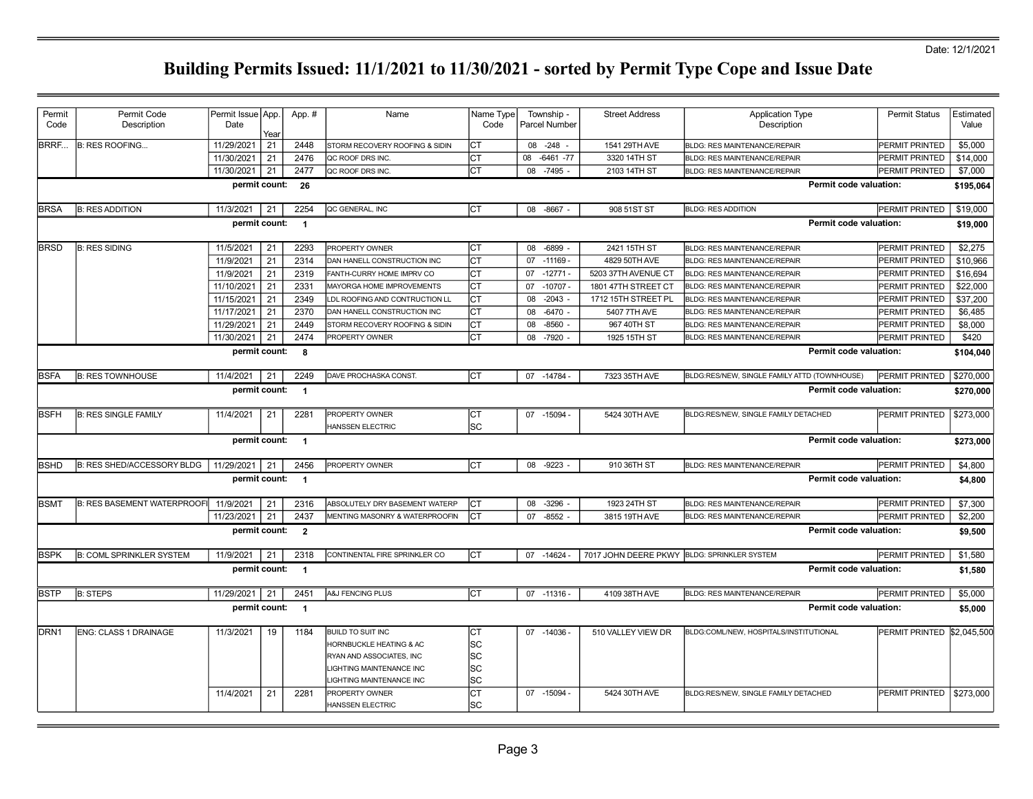| Permit           | Permit Code                        | Permit Issue App |      | App. #                   | Name                                       | Name Type | Township -         | <b>Street Address</b>                       | <b>Application Type</b>                      | <b>Permit Status</b>  | Estimated   |
|------------------|------------------------------------|------------------|------|--------------------------|--------------------------------------------|-----------|--------------------|---------------------------------------------|----------------------------------------------|-----------------------|-------------|
| Code             | Description                        | Date             |      |                          |                                            | Code      | Parcel Number      |                                             | Description                                  |                       | Value       |
|                  |                                    |                  | Year |                          |                                            |           |                    |                                             |                                              |                       |             |
| <b>BRRF</b>      | <b>B: RES ROOFING</b>              | 11/29/2021       | 21   | 2448                     | STORM RECOVERY ROOFING & SIDIN             | СT        | 08 -248            | 1541 29TH AVE                               | <b>BLDG: RES MAINTENANCE/REPAIR</b>          | PERMIT PRINTED        | \$5,000     |
|                  |                                    | 11/30/2021       | 21   | 2476                     | QC ROOF DRS INC.                           | СT        | $-6461 - 77$<br>08 | 3320 14TH ST                                | <b>BLDG: RES MAINTENANCE/REPAIR</b>          | PERMIT PRINTED        | \$14,000    |
|                  |                                    | 11/30/2021       | 21   | 2477                     | QC ROOF DRS INC.                           | СT        | 08<br>-7495        | 2103 14TH ST                                | <b>BLDG: RES MAINTENANCE/REPAIR</b>          | PERMIT PRINTED        | \$7,000     |
|                  |                                    | permit count:    |      | - 26                     |                                            |           |                    |                                             | Permit code valuation:                       |                       | \$195,064   |
| <b>BRSA</b>      | <b>B: RES ADDITION</b>             | 11/3/2021        | 21   | 2254                     | QC GENERAL, INC                            | lст       | 08<br>-8667        | 908 51ST ST                                 | <b>BLDG: RES ADDITION</b>                    | PERMIT PRINTED        | \$19,000    |
|                  |                                    | permit count:    |      | $\overline{1}$           |                                            |           |                    |                                             | Permit code valuation:                       |                       | \$19,000    |
| <b>BRSD</b>      | <b>B: RES SIDING</b>               | 11/5/2021        | 21   | 2293                     | PROPERTY OWNER                             | СT        | $-6899$<br>08      | 2421 15TH ST                                | <b>BLDG: RES MAINTENANCE/REPAIR</b>          | <b>PERMIT PRINTED</b> | \$2,275     |
|                  |                                    | 11/9/2021        | 21   | 2314                     | DAN HANELL CONSTRUCTION INC                | CТ        | 07<br>$-11169$     | 4829 50TH AVE                               | <b>BLDG: RES MAINTENANCE/REPAIR</b>          | PERMIT PRINTED        | \$10.966    |
|                  |                                    | 11/9/2021        | 21   | 2319                     | FANTH-CURRY HOME IMPRV CO                  | СТ        | $-12771-$<br>07    | 5203 37TH AVENUE CT                         | <b>BLDG: RES MAINTENANCE/REPAIR</b>          | PERMIT PRINTED        | \$16,694    |
|                  |                                    | 11/10/2021       | 21   | 2331                     | MAYORGA HOME IMPROVEMENTS                  | СT        | 07<br>$-10707$     | 1801 47TH STREET CT                         | <b>BLDG: RES MAINTENANCE/REPAIR</b>          | PERMIT PRINTED        | \$22,000    |
|                  |                                    | 11/15/2021       | 21   | 2349                     | LDL ROOFING AND CONTRUCTION LL             | СT        | $-2043$<br>08      | 1712 15TH STREET PL                         | <b>BLDG: RES MAINTENANCE/REPAIR</b>          | PERMIT PRINTED        | \$37,200    |
|                  |                                    | 11/17/2021       | 21   | 2370                     | DAN HANELL CONSTRUCTION INC                | СT        | 08<br>$-6470 -$    | 5407 7TH AVE                                | <b>BLDG: RES MAINTENANCE/REPAIR</b>          | PERMIT PRINTED        | \$6,485     |
|                  |                                    | 11/29/2021       | 21   | 2449                     | STORM RECOVERY ROOFING & SIDIN             | СT        | $-8560 -$<br>08    | 967 40TH ST                                 | <b>BLDG: RES MAINTENANCE/REPAIR</b>          | PERMIT PRINTED        | \$8,000     |
|                  |                                    | 11/30/2021       | 21   | 2474                     | <b>PROPERTY OWNER</b>                      | СT        | $-7920$<br>08      | 1925 15TH ST                                | <b>BLDG: RES MAINTENANCE/REPAIR</b>          | PERMIT PRINTED        | \$420       |
|                  |                                    | permit count:    |      | -8                       |                                            |           |                    |                                             | Permit code valuation:                       |                       | \$104,040   |
|                  |                                    |                  |      |                          |                                            |           |                    |                                             |                                              |                       |             |
| <b>BSFA</b>      | <b>B: RES TOWNHOUSE</b>            | 11/4/2021        | 21   | 2249                     | DAVE PROCHASKA CONST.                      | СT        | 07 -14784          | 7323 35TH AVE                               | BLDG:RES/NEW, SINGLE FAMILY ATTD (TOWNHOUSE) | <b>PERMIT PRINTED</b> | \$270,000   |
|                  |                                    | permit count:    |      | $\overline{\phantom{0}}$ |                                            |           |                    |                                             | Permit code valuation:                       |                       | \$270,000   |
| IBSFH            | B: RES SINGLE FAMILY               | 11/4/2021        | 21   | 2281                     | <b>IPROPERTY OWNER</b><br>HANSSEN ELECTRIC | CТ<br>SC  | 07 -15094 -        | 5424 30TH AVE                               | BLDG:RES/NEW, SINGLE FAMILY DETACHED         | <b>PERMIT PRINTED</b> | \$273,000   |
|                  |                                    | permit count:    |      | $\overline{1}$           |                                            |           |                    |                                             | Permit code valuation:                       |                       | \$273,000   |
| <b>BSHD</b>      | B: RES SHED/ACCESSORY BLDG         | 11/29/2021 21    |      | 2456                     | <b>PROPERTY OWNER</b>                      | IСТ       | $-9223$<br>08      | 910 36TH ST                                 | <b>BLDG: RES MAINTENANCE/REPAIR</b>          | PERMIT PRINTED        | \$4,800     |
|                  |                                    | permit count:    |      | $\overline{1}$           |                                            |           |                    |                                             | Permit code valuation:                       |                       | \$4,800     |
| <b>BSMT</b>      | <b>B: RES BASEMENT WATERPROOFI</b> | 11/9/2021        | 21   | 2316                     | ABSOLUTELY DRY BASEMENT WATERP             | СT        | $-3296$<br>08      | 1923 24TH ST                                | <b>BLDG: RES MAINTENANCE/REPAIR</b>          | <b>PERMIT PRINTED</b> | \$7,300     |
|                  |                                    | 11/23/2021       | 21   | 2437                     | MENTING MASONRY & WATERPROOFIN             | СT        | 07<br>$-8552$      | 3815 19TH AVE                               | <b>BLDG: RES MAINTENANCE/REPAIR</b>          | PERMIT PRINTED        | \$2,200     |
|                  |                                    | permit count:    |      | $\overline{\mathbf{2}}$  |                                            |           |                    |                                             | Permit code valuation:                       |                       | \$9,500     |
| <b>BSPK</b>      | <b>B: COML SPRINKLER SYSTEM</b>    | 11/9/2021        | 21   | 2318                     | CONTINENTAL FIRE SPRINKLER CO              | lст       | $-14624$<br>07     | 7017 JOHN DEERE PKWY BLDG: SPRINKLER SYSTEM |                                              | PERMIT PRINTED        | \$1,580     |
|                  |                                    | permit count:    |      | $\overline{\mathbf{1}}$  |                                            |           |                    |                                             | Permit code valuation:                       |                       | \$1,580     |
| <b>BSTP</b>      | <b>B: STEPS</b>                    | 11/29/2021       | 21   | 2451                     | A&J FENCING PLUS                           | IСТ       | 07 -11316 -        | 4109 38TH AVE                               | <b>BLDG: RES MAINTENANCE/REPAIR</b>          | PERMIT PRINTED        | \$5,000     |
|                  |                                    | permit count:    |      | $\blacksquare$           |                                            |           |                    |                                             | Permit code valuation:                       |                       | \$5,000     |
| DRN <sub>1</sub> | <b>ENG: CLASS 1 DRAINAGE</b>       | 11/3/2021        | 19   | 1184                     | BUILD TO SUIT INC                          | СT        | 07 -14036 -        | 510 VALLEY VIEW DR                          | BLDG:COML/NEW, HOSPITALS/INSTITUTIONAL       | <b>PERMIT PRINTED</b> | \$2,045,500 |
|                  |                                    |                  |      |                          | HORNBUCKLE HEATING & AC                    | SC        |                    |                                             |                                              |                       |             |
|                  |                                    |                  |      |                          | RYAN AND ASSOCIATES, INC                   | lsс       |                    |                                             |                                              |                       |             |
|                  |                                    |                  |      |                          | LIGHTING MAINTENANCE INC                   | lsс       |                    |                                             |                                              |                       |             |
|                  |                                    |                  |      |                          | LIGHTING MAINTENANCE INC                   | SC        |                    |                                             |                                              |                       |             |
|                  |                                    |                  |      |                          |                                            |           |                    |                                             |                                              |                       |             |
|                  |                                    | 11/4/2021        | 21   | 2281                     | <b>PROPERTY OWNER</b>                      | СT        | 07 -15094 -        | 5424 30TH AVE                               | BLDG:RES/NEW, SINGLE FAMILY DETACHED         | PERMIT PRINTED        | \$273,000   |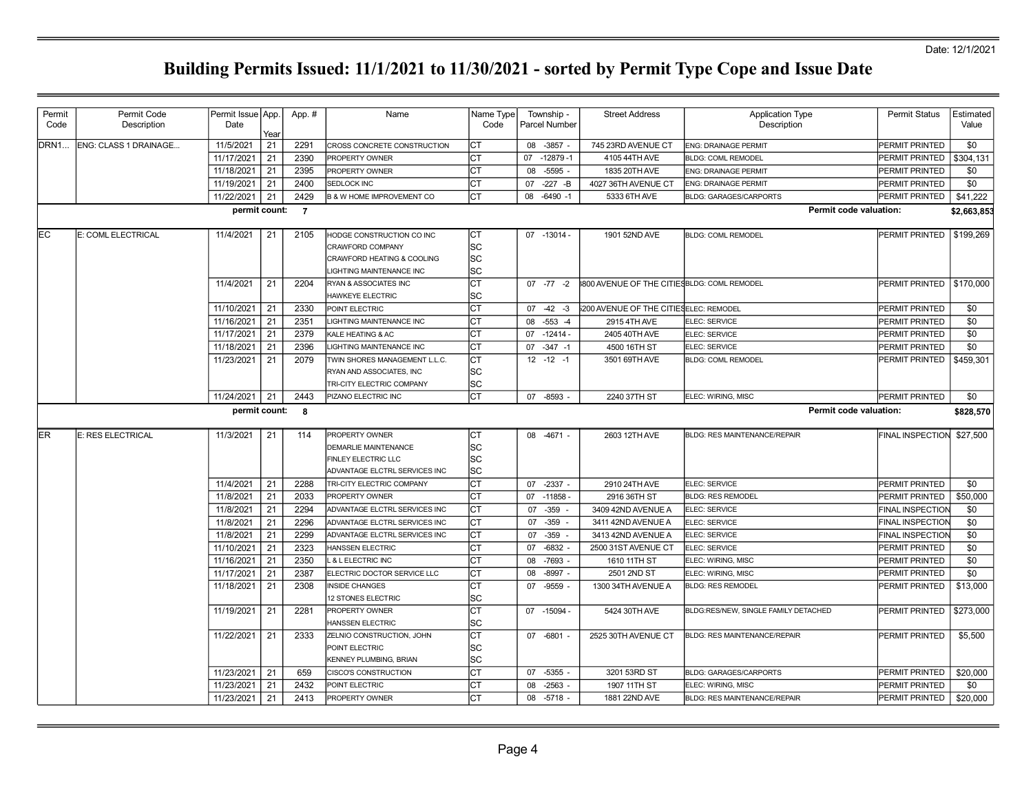| Permit      | Permit Code           | Permit Issue App.        |          | App. # | Name                                 | Name Type | Township -           | <b>Street Address</b>                       | <b>Application Type</b>              | <b>Permit Status</b>          | Estimated       |
|-------------|-----------------------|--------------------------|----------|--------|--------------------------------------|-----------|----------------------|---------------------------------------------|--------------------------------------|-------------------------------|-----------------|
| Code        | Description           | Date                     | Year     |        |                                      | Code      | <b>Parcel Number</b> |                                             | Description                          |                               | Value           |
| <b>DRN1</b> | ENG: CLASS 1 DRAINAGE | 11/5/2021                | 21       | 2291   | CROSS CONCRETE CONSTRUCTION          | СT        | 08 -3857 -           | 745 23RD AVENUE CT                          | <b>ENG: DRAINAGE PERMIT</b>          | <b>PERMIT PRINTED</b>         | \$0             |
|             |                       | 11/17/2021               | 21       | 2390   | PROPERTY OWNER                       | СT        | 07<br>$-12879-1$     | 4105 44TH AVE                               | <b>BLDG: COML REMODEL</b>            | PERMIT PRINTED                | \$304,131       |
|             |                       | 11/18/2021               | 21       | 2395   | PROPERTY OWNER                       | СT        | $-5595 -$<br>08      | 1835 20TH AVE                               | <b>ENG: DRAINAGE PERMIT</b>          | PERMIT PRINTED                | \$0             |
|             |                       | 11/19/2021               | 21       | 2400   | SEDLOCK INC                          | Iст       | $-227 - B$<br>07     | 4027 36TH AVENUE CT                         | <b>ENG: DRAINAGE PERMIT</b>          | <b>IPERMIT PRINTED</b>        | \$0             |
|             |                       | 11/22/2021               | 21       | 2429   | <b>B &amp; W HOME IMPROVEMENT CO</b> | IСТ       | $-6490 -1$<br>08     | 5333 6TH AVE                                | <b>BLDG: GARAGES/CARPORTS</b>        | <b>PERMIT PRINTED</b>         | \$41,222        |
|             |                       | permit count: 7          |          |        |                                      |           |                      |                                             |                                      | <b>Permit code valuation:</b> | \$2,663,853     |
| EC          | E: COML ELECTRICAL    | 11/4/2021                | 21       | 2105   | HODGE CONSTRUCTION CO INC            | СT        | 07 -13014 -          | 1901 52ND AVE                               | <b>BLDG: COML REMODEL</b>            | PERMIT PRINTED   \$199,269    |                 |
|             |                       |                          |          |        | <b>CRAWFORD COMPANY</b>              | lsc       |                      |                                             |                                      |                               |                 |
|             |                       |                          |          |        | CRAWFORD HEATING & COOLING           | lsc       |                      |                                             |                                      |                               |                 |
|             |                       |                          |          |        | LIGHTING MAINTENANCE INC             | SC        |                      |                                             |                                      |                               |                 |
|             |                       | 11/4/2021                | 21       | 2204   | RYAN & ASSOCIATES INC                | СT        | $07 - 77 - 2$        | 800 AVENUE OF THE CITIES BLDG: COML REMODEL |                                      | <b>PERMIT PRINTED</b>         | \$170,000       |
|             |                       |                          |          |        | HAWKEYE ELECTRIC                     | SС        |                      |                                             |                                      |                               |                 |
|             |                       | 11/10/2021               | 21       | 2330   | POINT ELECTRIC                       | Iст       | $07 - 42 - 3$        | 3200 AVENUE OF THE CITIES ELEC: REMODEL     |                                      | <b>PERMIT PRINTED</b>         | \$0             |
|             |                       | 11/16/2021               | 21       | 2351   | LIGHTING MAINTENANCE INC             | Iст       | $-553 -4$<br>08      | 2915 4TH AVE                                | ELEC: SERVICE                        | PERMIT PRINTED                | \$0             |
|             |                       | 11/17/2021               | 21       | 2379   | KALE HEATING & AC                    | СT        | $-12414-$<br>07      | 2405 40TH AVE                               | ELEC: SERVICE                        | PERMIT PRINTED                | \$0             |
|             |                       | 11/18/2021               | 21       | 2396   | LIGHTING MAINTENANCE INC             | СT        | $-347 - 1$<br>07     | 4500 16TH ST                                | ELEC: SERVICE                        | PERMIT PRINTED                | \$0             |
|             |                       | 11/23/2021               | 21       | 2079   | TWIN SHORES MANAGEMENT L.L.C.        | СT        | $12 - 12 - 1$        | 3501 69TH AVE                               | <b>BLDG: COML REMODEL</b>            | PERMIT PRINTED                | \$459,301       |
|             |                       |                          |          |        | RYAN AND ASSOCIATES, INC             | lsc       |                      |                                             |                                      |                               |                 |
|             |                       |                          |          |        | TRI-CITY ELECTRIC COMPANY            | lsc       |                      |                                             |                                      |                               |                 |
|             |                       | 11/24/2021               | 21       | 2443   | PIZANO ELECTRIC INC                  | СT        | 07 -8593             | 2240 37TH ST                                | ELEC: WIRING, MISC                   | PERMIT PRINTED                | \$0             |
|             |                       | permit count: 8          |          |        |                                      |           |                      |                                             |                                      | Permit code valuation:        |                 |
|             |                       |                          |          |        |                                      |           |                      |                                             |                                      |                               | \$828,570       |
| ER.         | E: RES ELECTRICAL     |                          |          |        |                                      |           |                      |                                             |                                      |                               |                 |
|             |                       | 11/3/2021                | 21       | 114    | PROPERTY OWNER                       | СT        | 08 -4671 -           | 2603 12TH AVE                               | <b>BLDG: RES MAINTENANCE/REPAIR</b>  | <b>FINAL INSPECTION</b>       | \$27,500        |
|             |                       |                          |          |        | DEMARLIE MAINTENANCE                 | lsс       |                      |                                             |                                      |                               |                 |
|             |                       |                          |          |        | FINLEY ELECTRIC LLC                  | ΙSC       |                      |                                             |                                      |                               |                 |
|             |                       |                          |          |        | ADVANTAGE ELCTRL SERVICES INC        | lsc       |                      |                                             |                                      |                               |                 |
|             |                       | 11/4/2021                | 21       | 2288   | TRI-CITY ELECTRIC COMPANY            | lст       | 07 -2337 -           | 2910 24TH AVE                               | ELEC: SERVICE                        | <b>PERMIT PRINTED</b>         | \$0             |
|             |                       | 11/8/2021                | 21       | 2033   | PROPERTY OWNER                       | СT        | $-11858 -$<br>07     | 2916 36TH ST                                | <b>BLDG: RES REMODEL</b>             | PERMIT PRINTED                | \$50,000        |
|             |                       | 11/8/2021                | 21       | 2294   | ADVANTAGE ELCTRL SERVICES INC        | СT        | 07<br>$-359$         | 3409 42ND AVENUE A                          | ELEC: SERVICE                        | <b>FINAL INSPECTION</b>       | \$0             |
|             |                       | 11/8/2021                | 21       | 2296   | ADVANTAGE ELCTRL SERVICES INC        | СT        | $-359$<br>07         | 3411 42ND AVENUE A                          | ELEC: SERVICE                        | <b>FINAL INSPECTION</b>       | \$0             |
|             |                       | 11/8/2021                | 21       | 2299   | ADVANTAGE ELCTRL SERVICES INC        | СT        | $-359$<br>07         | 3413 42ND AVENUE A                          | ELEC: SERVICE                        | <b>FINAL INSPECTION</b>       | \$0             |
|             |                       | 11/10/2021               | 21       | 2323   | HANSSEN ELECTRIC                     | Iст       | $-6832 -$<br>07      | 2500 31ST AVENUE CT                         | ELEC: SERVICE                        | <b>PERMIT PRINTED</b>         | \$0             |
|             |                       | 11/16/2021               | 21       | 2350   | L & L ELECTRIC INC                   | СT        | $-7693 -$<br>08      | 1610 11TH ST                                | ELEC: WIRING, MISC                   | PERMIT PRINTED                | \$0             |
|             |                       | 11/17/2021               | 21       | 2387   | ELECTRIC DOCTOR SERVICE LLC          | СT        | $-8997 -$<br>08      | 2501 2ND ST                                 | ELEC: WIRING, MISC                   | PERMIT PRINTED                | \$0             |
|             |                       | 11/18/2021               | 21       | 2308   | <b>INSIDE CHANGES</b>                | СT        | $-9559 -$<br>07      | 1300 34TH AVENUE A                          | <b>BLDG: RES REMODEL</b>             | PERMIT PRINTED                | \$13,000        |
|             |                       |                          |          |        | 12 STONES ELECTRIC                   | SС        |                      |                                             |                                      |                               |                 |
|             |                       |                          |          | 2281   | PROPERTY OWNER                       | СT        | 07 -15094 -          | 5424 30TH AVE                               | BLDG:RES/NEW, SINGLE FAMILY DETACHED | <b>PERMIT PRINTED</b>         |                 |
|             |                       | 11/19/2021               | 21       |        | HANSSEN ELECTRIC                     | lSС       |                      |                                             |                                      |                               | \$273,000       |
|             |                       | 11/22/2021               | 21       | 2333   | ZELNIO CONSTRUCTION, JOHN            | СT        | 07 -6801 -           | 2525 30TH AVENUE CT                         | <b>BLDG: RES MAINTENANCE/REPAIR</b>  | PERMIT PRINTED                | \$5,500         |
|             |                       |                          |          |        | POINT ELECTRIC                       |           |                      |                                             |                                      |                               |                 |
|             |                       |                          |          |        | KENNEY PLUMBING, BRIAN               | SC        |                      |                                             |                                      |                               |                 |
|             |                       | 11/23/2021               | 21       | 659    | CISCO'S CONSTRUCTION                 | ΙSC<br>СT | $-5355 -$<br>07      | 3201 53RD ST                                | <b>BLDG: GARAGES/CARPORTS</b>        | PERMIT PRINTED                | \$20,000        |
|             |                       |                          |          | 2432   | POINT ELECTRIC                       |           | $-2563 -$<br>08      | 1907 11TH ST                                | ELEC: WIRING, MISC                   | <b>PERMIT PRINTED</b>         |                 |
|             |                       | 11/23/2021<br>11/23/2021 | 21<br>21 | 2413   | PROPERTY OWNER                       | СT<br>lст | 08 -5718 -           | 1881 22ND AVE                               | <b>BLDG: RES MAINTENANCE/REPAIR</b>  | PERMIT PRINTED                | \$0<br>\$20,000 |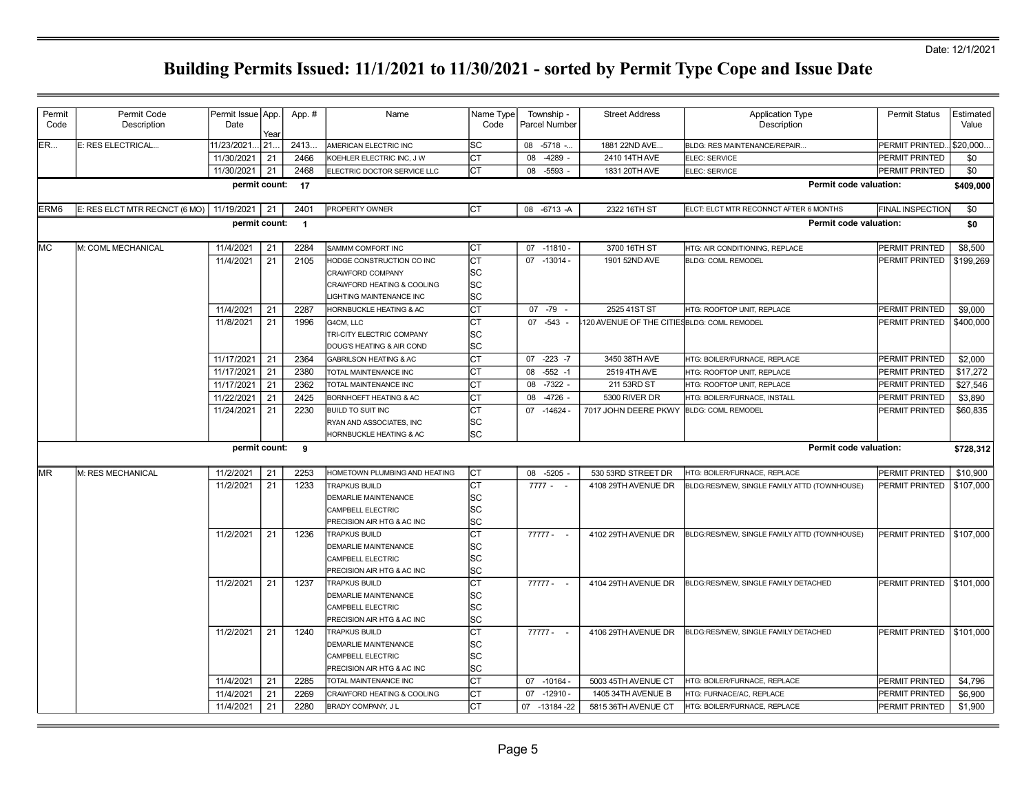| Permit           | Permit Code                                | Permit Issue App. |             | App. #           | Name                              | Name Type | Township -        | <b>Street Address</b>                       | <b>Application Type</b>                      | <b>Permit Status</b>       | Estimated |
|------------------|--------------------------------------------|-------------------|-------------|------------------|-----------------------------------|-----------|-------------------|---------------------------------------------|----------------------------------------------|----------------------------|-----------|
| Code             | Description                                | Date              |             |                  |                                   | Code      | Parcel Number     |                                             | Description                                  |                            | Value     |
| ER               | E: RES ELECTRICAL                          | 11/23/2021.       | Year<br>21. | 2413.            | AMERICAN ELECTRIC INC             | SC        | 08<br>$-5718 - $  | 1881 22ND AVE                               | BLDG: RES MAINTENANCE/REPAIR                 | PERMIT PRINTED.            | \$20,000. |
|                  |                                            | 11/30/2021        | 21          | 2466             | KOEHLER ELECTRIC INC, J W         | CТ        | $-4289 -$<br>08   | 2410 14TH AVE                               | ELEC: SERVICE                                | PERMIT PRINTED             | \$0       |
|                  |                                            | 11/30/2021        | 21          | 2468             | ELECTRIC DOCTOR SERVICE LLC       | СT        | $-5593 -$<br>08   | 1831 20TH AVE                               | ELEC: SERVICE                                | PERMIT PRINTED             | \$0       |
|                  |                                            |                   |             |                  |                                   |           |                   |                                             | Permit code valuation:                       |                            |           |
|                  |                                            |                   |             | permit count: 17 |                                   |           |                   |                                             |                                              |                            | \$409,000 |
| ERM <sub>6</sub> | E: RES ELCT MTR RECNCT (6 MO)   11/19/2021 |                   | 21          | 2401             | PROPERTY OWNER                    | lст       | 08 -6713 -A       | 2322 16TH ST                                | ELCT: ELCT MTR RECONNCT AFTER 6 MONTHS       | <b>FINAL INSPECTION</b>    | \$0       |
|                  |                                            | permit count:     |             | $\blacksquare$   |                                   |           |                   |                                             | Permit code valuation:                       |                            | \$0       |
| lмc              | M: COML MECHANICAL                         | 11/4/2021         | 21          | 2284             | SAMMM COMFORT INC                 | СT        | 07 -11810 -       | 3700 16TH ST                                | HTG: AIR CONDITIONING, REPLACE               | PERMIT PRINTED             | \$8,500   |
|                  |                                            | 11/4/2021         | 21          | 2105             | HODGE CONSTRUCTION CO INC         | СT        | 07 -13014 -       | 1901 52ND AVE                               | <b>BLDG: COML REMODEL</b>                    | PERMIT PRINTED             | \$199,269 |
|                  |                                            |                   |             |                  | CRAWFORD COMPANY                  | SC        |                   |                                             |                                              |                            |           |
|                  |                                            |                   |             |                  | CRAWFORD HEATING & COOLING        | lsc       |                   |                                             |                                              |                            |           |
|                  |                                            |                   |             |                  | LIGHTING MAINTENANCE INC          | SC        |                   |                                             |                                              |                            |           |
|                  |                                            | 11/4/2021         | 21          | 2287             | HORNBUCKLE HEATING & AC           | СT        | 07 -79<br>$\sim$  | 2525 41ST ST                                | HTG: ROOFTOP UNIT, REPLACE                   | PERMIT PRINTED             | \$9,000   |
|                  |                                            | 11/8/2021         | 21          | 1996             | G4CM, LLC                         | СT        | $-543 -$<br>07    | 120 AVENUE OF THE CITIES BLDG: COML REMODEL |                                              | PERMIT PRINTED             | \$400,000 |
|                  |                                            |                   |             |                  | TRI-CITY ELECTRIC COMPANY         | SC        |                   |                                             |                                              |                            |           |
|                  |                                            |                   |             |                  | DOUG'S HEATING & AIR COND         | SC        |                   |                                             |                                              |                            |           |
|                  |                                            | 11/17/2021        | 21          | 2364             | <b>GABRILSON HEATING &amp; AC</b> | СT        | $07 - 223 - 7$    | 3450 38TH AVE                               | HTG: BOILER/FURNACE, REPLACE                 | PERMIT PRINTED             | \$2,000   |
|                  |                                            | 11/17/2021        | 21          | 2380             | TOTAL MAINTENANCE INC             | CТ        | $-552 - 1$<br>08  | 2519 4TH AVE                                | HTG: ROOFTOP UNIT, REPLACE                   | PERMIT PRINTED             | \$17,272  |
|                  |                                            | 11/17/2021        | 21          | 2362             | TOTAL MAINTENANCE INC             | СT        | 08<br>$-7322 -$   | 211 53RD ST                                 | HTG: ROOFTOP UNIT, REPLACE                   | PERMIT PRINTED             | \$27,546  |
|                  |                                            | 11/22/2021        | 21          | 2425             | BORNHOEFT HEATING & AC            | CТ        | $-4726 -$<br>08   | 5300 RIVER DR                               | HTG: BOILER/FURNACE, INSTALL                 | PERMIT PRINTED             | \$3,890   |
|                  |                                            | 11/24/2021        | 21          | 2230             | <b>BUILD TO SUIT INC</b>          | СT        | $-14624 -$<br>07  | 7017 JOHN DEERE PKWY                        | <b>BLDG: COML REMODEL</b>                    | PERMIT PRINTED             | \$60,835  |
|                  |                                            |                   |             |                  | RYAN AND ASSOCIATES, INC          | SC        |                   |                                             |                                              |                            |           |
|                  |                                            |                   |             |                  | HORNBUCKLE HEATING & AC           | SC        |                   |                                             |                                              |                            |           |
|                  |                                            | permit count:     |             | - 9              |                                   |           |                   |                                             | Permit code valuation:                       |                            | \$728,312 |
|                  |                                            |                   |             |                  |                                   |           |                   |                                             |                                              |                            |           |
| <b>IMR</b>       | M: RES MECHANICAL                          | 11/2/2021         | 21          | 2253             | HOMETOWN PLUMBING AND HEATING     | Iст       | 08 -5205 -        | 530 53RD STREET DR                          | HTG: BOILER/FURNACE, REPLACE                 | PERMIT PRINTED             | \$10,900  |
|                  |                                            | 11/2/2021         | 21          | 1233             | <b>TRAPKUS BUILD</b>              | СT        | $7777 - -$        | 4108 29TH AVENUE DR                         | BLDG:RES/NEW, SINGLE FAMILY ATTD (TOWNHOUSE) | PERMIT PRINTED             | \$107,000 |
|                  |                                            |                   |             |                  | DEMARLIE MAINTENANCE              | SC        |                   |                                             |                                              |                            |           |
|                  |                                            |                   |             |                  | CAMPBELL ELECTRIC                 | SC        |                   |                                             |                                              |                            |           |
|                  |                                            |                   |             |                  | PRECISION AIR HTG & AC INC        | SC        |                   |                                             |                                              |                            |           |
|                  |                                            | 11/2/2021         | 21          | 1236             | TRAPKUS BUILD                     | СT        | 77777 -<br>$\sim$ | 4102 29TH AVENUE DR                         | BLDG:RES/NEW, SINGLE FAMILY ATTD (TOWNHOUSE) | PERMIT PRINTED   \$107,000 |           |
|                  |                                            |                   |             |                  | DEMARLIE MAINTENANCE              | SC        |                   |                                             |                                              |                            |           |
|                  |                                            |                   |             |                  | CAMPBELL ELECTRIC                 | SC        |                   |                                             |                                              |                            |           |
|                  |                                            |                   |             |                  | PRECISION AIR HTG & AC INC        | SC        |                   |                                             |                                              |                            |           |
|                  |                                            | 11/2/2021         | 21          | 1237             | <b>TRAPKUS BUILD</b>              | СT        | $77777 - -$       | 4104 29TH AVENUE DR                         | BLDG:RES/NEW, SINGLE FAMILY DETACHED         | PERMIT PRINTED   \$101,000 |           |
|                  |                                            |                   |             |                  | <b>DEMARLIE MAINTENANCE</b>       | SC        |                   |                                             |                                              |                            |           |
|                  |                                            |                   |             |                  | CAMPBELL ELECTRIC                 | SC        |                   |                                             |                                              |                            |           |
|                  |                                            |                   |             |                  | PRECISION AIR HTG & AC INC        | SC        |                   |                                             |                                              |                            |           |
|                  |                                            | 11/2/2021         | 21          | 1240             | <b>TRAPKUS BUILD</b>              | СT        | 77777 -           | 4106 29TH AVENUE DR                         | BLDG:RES/NEW, SINGLE FAMILY DETACHED         | PERMIT PRINTED   \$101,000 |           |
|                  |                                            |                   |             |                  | DEMARLIE MAINTENANCE              | SC        |                   |                                             |                                              |                            |           |
|                  |                                            |                   |             |                  | CAMPBELL ELECTRIC                 | SC        |                   |                                             |                                              |                            |           |
|                  |                                            |                   |             |                  | PRECISION AIR HTG & AC INC        | SC        |                   |                                             |                                              |                            |           |
|                  |                                            | 11/4/2021         | 21          | 2285             | TOTAL MAINTENANCE INC             | СT        | 07 -10164 -       | 5003 45TH AVENUE CT                         | HTG: BOILER/FURNACE, REPLACE                 | PERMIT PRINTED             | \$4,796   |
|                  |                                            | 11/4/2021         | 21          | 2269             | CRAWFORD HEATING & COOLING        | СT        | $-12910 -$<br>07  | 1405 34TH AVENUE B                          | HTG: FURNACE/AC, REPLACE                     | PERMIT PRINTED             | \$6,900   |
|                  |                                            | 11/4/2021         | 21          | 2280             | <b>BRADY COMPANY, J L</b>         | СT        | 07 -13184 -22     | 5815 36TH AVENUE CT                         | HTG: BOILER/FURNACE, REPLACE                 | PERMIT PRINTED             | \$1,900   |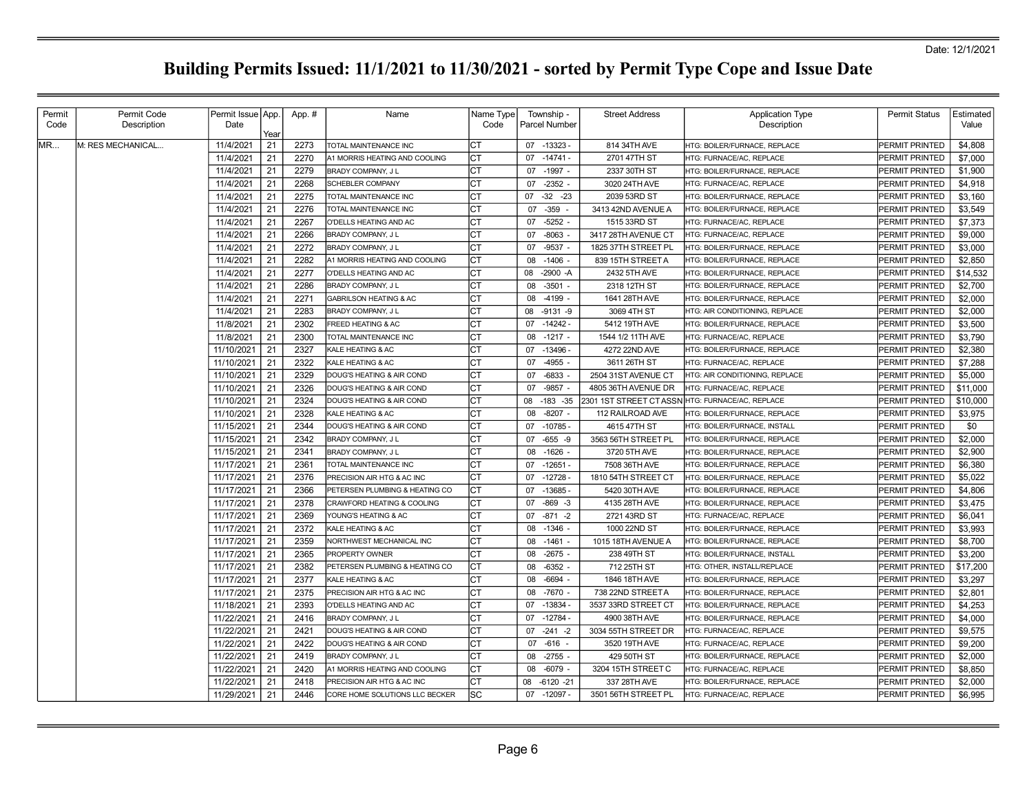| Permit | Permit Code       | Permit Issue   App.     | App. # | Name                              | Name Type | Township -           | <b>Street Address</b>  | <b>Application Type</b>        | <b>Permit Status</b> | Estimated |
|--------|-------------------|-------------------------|--------|-----------------------------------|-----------|----------------------|------------------------|--------------------------------|----------------------|-----------|
| Code   | Description       | Date                    |        |                                   | Code      | Parcel Number        |                        | Description                    |                      | Value     |
| MR     | M: RES MECHANICAL | Year<br>11/4/2021<br>21 | 2273   | TOTAL MAINTENANCE INC             | СT        | 07 -13323 -          | 814 34TH AVE           | HTG: BOILER/FURNACE, REPLACE   | PERMIT PRINTED       | \$4,808   |
|        |                   | 21<br>11/4/2021         | 2270   | A1 MORRIS HEATING AND COOLING     | СT        | $-14741-$<br>07      | 2701 47TH ST           | HTG: FURNACE/AC. REPLACE       | PERMIT PRINTED       | \$7,000   |
|        |                   | 21<br>11/4/2021         | 2279   | BRADY COMPANY, J L                | CТ        | $-1997 -$<br>07      | 2337 30TH ST           | HTG: BOILER/FURNACE. REPLACE   | PERMIT PRINTED       | \$1,900   |
|        |                   | 11/4/2021<br>21         | 2268   | <b>SCHEBLER COMPANY</b>           | Iст       | $-2352 -$<br>07      | 3020 24TH AVE          | HTG: FURNACE/AC, REPLACE       | PERMIT PRINTED       | \$4,918   |
|        |                   | 11/4/2021<br>21         | 2275   | TOTAL MAINTENANCE INC             | СT        | $-32$<br>$-23$<br>07 | 2039 53RD ST           | HTG: BOILER/FURNACE, REPLACE   | PERMIT PRINTED       | \$3,160   |
|        |                   | 11/4/2021<br>21         | 2276   | TOTAL MAINTENANCE INC             | СT        | $-359$<br>07         | 3413 42ND AVENUE A     | HTG: BOILER/FURNACE, REPLACE   | PERMIT PRINTED       | \$3,549   |
|        |                   | 11/4/2021<br>21         | 2267   | O'DELLS HEATING AND AC            | СT        | $-5252 -$<br>07      | 1515 33RD ST           | HTG: FURNACE/AC, REPLACE       | PERMIT PRINTED       | \$7,373   |
|        |                   | 21<br>11/4/2021         | 2266   | BRADY COMPANY, J L                | CТ        | 07<br>$-8063$        | 3417 28TH AVENUE CT    | HTG: FURNACE/AC, REPLACE       | PERMIT PRINTED       | \$9,000   |
|        |                   | 21<br>11/4/2021         | 2272   | BRADY COMPANY, J L                | IСT       | $-9537 -$<br>07      | 1825 37TH STREET PL    | HTG: BOILER/FURNACE, REPLACE   | PERMIT PRINTED       | \$3,000   |
|        |                   | 11/4/2021<br>21         | 2282   | A1 MORRIS HEATING AND COOLING     | СT        | $-1406$<br>08        | 839 15TH STREET A      | HTG: BOILER/FURNACE, REPLACE   | PERMIT PRINTED       | \$2,850   |
|        |                   | 21<br>11/4/2021         | 2277   | O'DELLS HEATING AND AC            | СT        | 08<br>$-2900 - A$    | 2432 5TH AVE           | HTG: BOILER/FURNACE, REPLACE   | PERMIT PRINTED       | \$14,532  |
|        |                   | 21<br>11/4/2021         | 2286   | BRADY COMPANY, J L                | СT        | $-3501 -$<br>08      | 2318 12TH ST           | HTG: BOILER/FURNACE, REPLACE   | PERMIT PRINTED       | \$2,700   |
|        |                   | 21<br>11/4/2021         | 2271   | <b>GABRILSON HEATING &amp; AC</b> | СT        | $-4199 -$<br>08      | 1641 28TH AVE          | HTG: BOILER/FURNACE, REPLACE   | PERMIT PRINTED       | \$2,000   |
|        |                   | 21<br>11/4/2021         | 2283   | BRADY COMPANY, J L                | CТ        | $-9131 - 9$<br>08    | 3069 4TH ST            | HTG: AIR CONDITIONING, REPLACE | PERMIT PRINTED       | \$2,000   |
|        |                   | 21<br>11/8/2021         | 2302   | FREED HEATING & AC                | Iст       | 07<br>$-14242-$      | 5412 19TH AVE          | HTG: BOILER/FURNACE, REPLACE   | PERMIT PRINTED       | \$3,500   |
|        |                   | 21<br>11/8/2021         | 2300   | TOTAL MAINTENANCE INC             | СT        | $-1217 -$<br>08      | 1544 1/2 11TH AVE      | HTG: FURNACE/AC, REPLACE       | PERMIT PRINTED       | \$3,790   |
|        |                   | 21<br>11/10/2021        | 2327   | KALE HEATING & AC                 | CТ        | $-13496$<br>07       | 4272 22ND AVE          | HTG: BOILER/FURNACE, REPLACE   | PERMIT PRINTED       | \$2,380   |
|        |                   | 21<br>11/10/2021        | 2322   | KALE HEATING & AC                 | CT        | $-4955 -$<br>07      | 3611 26TH ST           | HTG: FURNACE/AC, REPLACE       | PERMIT PRINTED       | \$7,288   |
|        |                   | 21<br>11/10/2021        | 2329   | DOUG'S HEATING & AIR COND         | CТ        | $-6833 -$<br>07      | 2504 31ST AVENUE CT    | HTG: AIR CONDITIONING, REPLACE | PERMIT PRINTED       | \$5,000   |
|        |                   | 21<br>11/10/2021        | 2326   | DOUG'S HEATING & AIR COND         | IСТ       | $-9857 -$<br>07      | 4805 36TH AVENUE DR    | HTG: FURNACE/AC, REPLACE       | PERMIT PRINTED       | \$11,000  |
|        |                   | 11/10/2021<br>21        | 2324   | DOUG'S HEATING & AIR COND         | IСТ       | $-183 - 35$<br>08    | 2301 1ST STREET CTASSN | HTG: FURNACE/AC, REPLACE       | PERMIT PRINTED       | \$10,000  |
|        |                   | 21<br>11/10/2021        | 2328   | KALE HEATING & AC                 | СT        | $-8207 -$<br>08      | 112 RAILROAD AVE       | HTG: BOILER/FURNACE, REPLACE   | PERMIT PRINTED       | \$3,975   |
|        |                   | 11/15/2021<br>21        | 2344   | DOUG'S HEATING & AIR COND         | СT        | 07<br>-10785 -       | 4615 47TH ST           | HTG: BOILER/FURNACE, INSTALL   | PERMIT PRINTED       | \$0       |
|        |                   | 11/15/2021<br>21        | 2342   | BRADY COMPANY, J L                | СT        | $-655 - 9$<br>07     | 3563 56TH STREET PL    | HTG: BOILER/FURNACE. REPLACE   | PERMIT PRINTED       | \$2,000   |
|        |                   | 21<br>11/15/2021        | 2341   | BRADY COMPANY, J L                | СT        | 08<br>$-1626 -$      | 3720 5TH AVE           | HTG: BOILER/FURNACE, REPLACE   | PERMIT PRINTED       | \$2,900   |
|        |                   | 21<br>11/17/2021        | 2361   | TOTAL MAINTENANCE INC             | Iст       | $-12651 -$<br>07     | 7508 36TH AVE          | HTG: BOILER/FURNACE, REPLACE   | PERMIT PRINTED       | \$6,380   |
|        |                   | 21<br>11/17/2021        | 2376   | PRECISION AIR HTG & AC INC        | СT        | $-12728$<br>07       | 1810 54TH STREET CT    | HTG: BOILER/FURNACE. REPLACE   | PERMIT PRINTED       | \$5,022   |
|        |                   | 21<br>11/17/2021        | 2366   | PETERSEN PLUMBING & HEATING CO    | IСТ       | $-13685 -$<br>07     | 5420 30TH AVE          | HTG: BOILER/FURNACE, REPLACE   | PERMIT PRINTED       | \$4,806   |
|        |                   | 11/17/2021<br>21        | 2378   | CRAWFORD HEATING & COOLING        | СT        | $-869 - 3$<br>07     | 4135 28TH AVE          | HTG: BOILER/FURNACE, REPLACE   | PERMIT PRINTED       | \$3,475   |
|        |                   | 21<br>11/17/2021        | 2369   | YOUNG'S HEATING & AC              | СT        | $-871 - 2$<br>07     | 2721 43RD ST           | HTG: FURNACE/AC, REPLACE       | PERMIT PRINTED       | \$6,041   |
|        |                   | 21<br>11/17/2021        | 2372   | KALE HEATING & AC                 | IСТ       | $-1346 -$<br>08      | 1000 22ND ST           | HTG: BOILER/FURNACE, REPLACE   | PERMIT PRINTED       | \$3,993   |
|        |                   | 21<br>11/17/2021        | 2359   | NORTHWEST MECHANICAL INC          | СT        | $-1461$<br>08        | 1015 18TH AVENUE A     | HTG: BOILER/FURNACE, REPLACE   | PERMIT PRINTED       | \$8,700   |
|        |                   | 11/17/2021<br>21        | 2365   | PROPERTY OWNER                    | СT        | $-2675 -$<br>08      | 238 49TH ST            | HTG: BOILER/FURNACE, INSTALL   | PERMIT PRINTED       | \$3,200   |
|        |                   | 21<br>11/17/2021        | 2382   | PETERSEN PLUMBING & HEATING CO    | СT        | $-6352 -$<br>08      | 712 25TH ST            | HTG: OTHER, INSTALL/REPLACE    | PERMIT PRINTED       | \$17,200  |
|        |                   | 11/17/2021<br>21        | 2377   | KALE HEATING & AC                 | CТ        | $-6694 -$<br>80      | 1846 18TH AVE          | HTG: BOILER/FURNACE, REPLACE   | PERMIT PRINTED       | \$3,297   |
|        |                   | 21<br>11/17/2021        | 2375   | PRECISION AIR HTG & AC INC        | IСТ       | $-7670 -$<br>08      | 738 22ND STREET A      | HTG: BOILER/FURNACE, REPLACE   | PERMIT PRINTED       | \$2,801   |
|        |                   | 11/18/2021<br>21        | 2393   | O'DELLS HEATING AND AC            | СT        | $-13834 -$<br>07     | 3537 33RD STREET CT    | HTG: BOILER/FURNACE, REPLACE   | PERMIT PRINTED       | \$4,253   |
|        |                   | 21<br>11/22/2021        | 2416   | BRADY COMPANY, J L                | СT        | 07<br>$-12784-$      | 4900 38TH AVE          | HTG: BOILER/FURNACE, REPLACE   | PERMIT PRINTED       | \$4,000   |
|        |                   | 21<br>11/22/2021        | 2421   | DOUG'S HEATING & AIR COND         | CТ        | $-241$<br>07<br>$-2$ | 3034 55TH STREET DR    | HTG: FURNACE/AC, REPLACE       | PERMIT PRINTED       | \$9,575   |
|        |                   | 11/22/2021<br>21        | 2422   | DOUG'S HEATING & AIR COND         | СT        | $-616 -$<br>07       | 3520 19TH AVE          | HTG: FURNACE/AC, REPLACE       | PERMIT PRINTED       | \$9,200   |
|        |                   | 21<br>11/22/2021        | 2419   | BRADY COMPANY, J L                | CТ        | $-2755 -$<br>08      | 429 50TH ST            | HTG: BOILER/FURNACE, REPLACE   | PERMIT PRINTED       | \$2,000   |
|        |                   | 11/22/2021<br>21        | 2420   | A1 MORRIS HEATING AND COOLING     | СT        | $-6079$ -<br>08      | 3204 15TH STREET C     | HTG: FURNACE/AC, REPLACE       | PERMIT PRINTED       | \$8,850   |
|        |                   | 21<br>11/22/2021        | 2418   | PRECISION AIR HTG & AC INC        | СT        | $-6120 -21$<br>08    | 337 28TH AVE           | HTG: BOILER/FURNACE, REPLACE   | PERMIT PRINTED       | \$2,000   |
|        |                   | 11/29/2021<br>21        | 2446   | CORE HOME SOLUTIONS LLC BECKER    | lsc       | 07<br>$-12097 -$     | 3501 56TH STREET PL    | HTG: FURNACE/AC, REPLACE       | PERMIT PRINTED       | \$6,995   |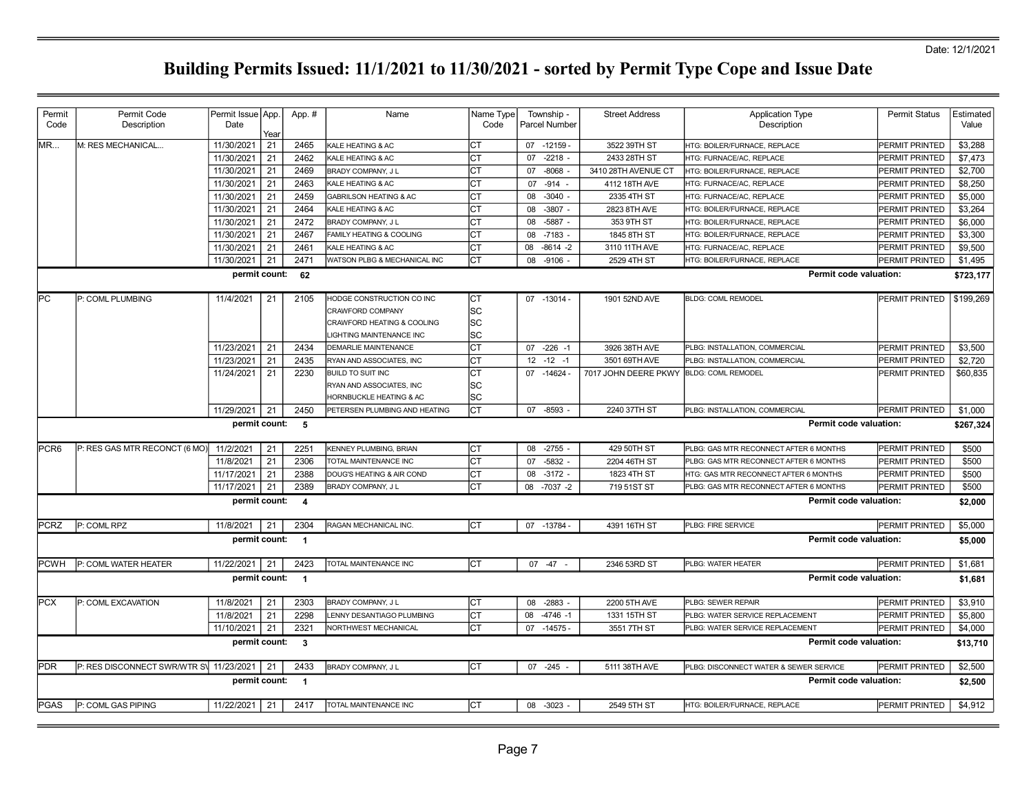| Permit           | Permit Code                            | Permit Issue   App. |      | App. #                  | Name                              | Name Type | Township -           | <b>Street Address</b> | <b>Application Type</b>                      | <b>Permit Status</b>       | Estimated |
|------------------|----------------------------------------|---------------------|------|-------------------------|-----------------------------------|-----------|----------------------|-----------------------|----------------------------------------------|----------------------------|-----------|
| Code             | Description                            | Date                |      |                         |                                   | Code      | <b>Parcel Number</b> |                       | Description                                  |                            | Value     |
|                  |                                        |                     | Year |                         |                                   |           |                      |                       |                                              |                            |           |
| MR               | M: RES MECHANICAL                      | 11/30/2021          | 21   | 2465                    | KALE HEATING & AC                 | CT        | 07 -12159            | 3522 39TH ST          | <b>ITG: BOILER/FURNACE, REPLACE</b>          | PERMIT PRINTED             | \$3,288   |
|                  |                                        | 11/30/2021          | 21   | 2462                    | KALE HEATING & AC                 | СT        | $-2218 -$<br>07      | 2433 28TH ST          | HTG: FURNACE/AC. REPLACE                     | PERMIT PRINTED             | \$7,473   |
|                  |                                        | 11/30/2021          | 21   | 2469                    | BRADY COMPANY, J L                | СT        | $-8068$<br>07        | 3410 28TH AVENUE CT   | HTG: BOILER/FURNACE, REPLACE                 | PERMIT PRINTED             | \$2,700   |
|                  |                                        | 11/30/2021          | 21   | 2463                    | KALE HEATING & AC                 | СT        | $-914 -$<br>07       | 4112 18TH AVE         | HTG: FURNACE/AC, REPLACE                     | PERMIT PRINTED             | \$8,250   |
|                  |                                        | 11/30/2021          | 21   | 2459                    | <b>GABRILSON HEATING &amp; AC</b> | lст       | 08<br>$-3040 -$      | 2335 4TH ST           | HTG: FURNACE/AC, REPLACE                     | PERMIT PRINTED             | \$5.000   |
|                  |                                        | 11/30/2021          | 21   | 2464                    | KALE HEATING & AC                 | СT        | $-3807 -$<br>08      | 2823 8TH AVE          | HTG: BOILER/FURNACE, REPLACE                 | PERMIT PRINTED             | \$3,264   |
|                  |                                        | 11/30/2021          | 21   | 2472                    | BRADY COMPANY, J L                | СT        | 08<br>-5887          | 353 9TH ST            | HTG: BOILER/FURNACE, REPLACE                 | PERMIT PRINTED             | \$6,000   |
|                  |                                        | 11/30/2021          | 21   | 2467                    | FAMILY HEATING & COOLING          | СT        | 08<br>$-7183$        | 1845 8TH ST           | HTG: BOILER/FURNACE, REPLACE                 | PERMIT PRINTED             | \$3,300   |
|                  |                                        | 11/30/2021          | 21   | 2461                    | KALE HEATING & AC                 | lст       | $-8614 -2$<br>08     | 3110 11TH AVE         | HTG: FURNACE/AC, REPLACE                     | PERMIT PRINTED             | \$9.500   |
|                  |                                        | 11/30/2021          | 21   | 2471                    | WATSON PLBG & MECHANICAL INC      | СT        | 08<br>$-9106$        | 2529 4TH ST           | <b>ITG: BOILER/FURNACE, REPLACE</b>          | PERMIT PRINTED             | \$1,495   |
|                  |                                        | permit count:       |      | 62                      |                                   |           |                      |                       | Permit code valuation:                       |                            | \$723,177 |
|                  |                                        |                     |      |                         |                                   |           |                      |                       |                                              |                            |           |
| lPC.             | P: COML PLUMBING                       | 11/4/2021           | 21   | 2105                    | HODGE CONSTRUCTION CO INC         | Iст       | 07 -13014 -          | 1901 52ND AVE         | <b>BLDG: COML REMODEL</b>                    | PERMIT PRINTED   \$199,269 |           |
|                  |                                        |                     |      |                         | <b>CRAWFORD COMPANY</b>           | SC        |                      |                       |                                              |                            |           |
|                  |                                        |                     |      |                         | CRAWFORD HEATING & COOLING        | SC        |                      |                       |                                              |                            |           |
|                  |                                        |                     |      |                         | LIGHTING MAINTENANCE INC          | SC        |                      |                       |                                              |                            |           |
|                  |                                        | 11/23/2021          | 21   | 2434                    | DEMARLIE MAINTENANCE              | СT        | $07 -226 -1$         | 3926 38TH AVE         | PLBG: INSTALLATION, COMMERCIAL               | PERMIT PRINTED             | \$3,500   |
|                  |                                        | 11/23/2021          | 21   | 2435                    | RYAN AND ASSOCIATES, INC          | lст       | $12 - 12 - 1$        | 3501 69TH AVE         | PLBG: INSTALLATION, COMMERCIAL               | PERMIT PRINTED             | \$2.720   |
|                  |                                        | 11/24/2021          | 21   | 2230                    | <b>BUILD TO SUIT INC</b>          | СT        | 07 -14624 -          | 7017 JOHN DEERE PKWY  | <b>BLDG: COML REMODEL</b>                    | PERMIT PRINTED             | \$60,835  |
|                  |                                        |                     |      |                         | RYAN AND ASSOCIATES, INC          | SC        |                      |                       |                                              |                            |           |
|                  |                                        |                     |      |                         | HORNBUCKLE HEATING & AC           | SC        |                      |                       |                                              |                            |           |
|                  |                                        | 11/29/2021          | 21   | 2450                    | PETERSEN PLUMBING AND HEATING     | lст       | 07<br>$-8593$        | 2240 37TH ST          | PLBG: INSTALLATION, COMMERCIAL               | PERMIT PRINTED             | \$1,000   |
|                  |                                        | permit count:       |      | 5                       |                                   |           |                      |                       | Permit code valuation:                       |                            | \$267,324 |
| PCR <sub>6</sub> | P: RES GAS MTR RECONCT (6 MO)          | 11/2/2021           | 21   | 2251                    | KENNEY PLUMBING, BRIAN            | СT        | 08<br>$-2755$        | 429 50TH ST           | PLBG: GAS MTR RECONNECT AFTER 6 MONTHS       | PERMIT PRINTED             | \$500     |
|                  |                                        | 11/8/2021           | 21   | 2306                    | TOTAL MAINTENANCE INC             | <b>CT</b> | $-5832$<br>07        | 2204 46TH ST          | PLBG: GAS MTR RECONNECT AFTER 6 MONTHS       | PERMIT PRINTED             | \$500     |
|                  |                                        | 11/17/2021          | 21   | 2388                    | DOUG'S HEATING & AIR COND         | СT        | $-3172 -$<br>08      | 1823 4TH ST           | <b>ITG: GAS MTR RECONNECT AFTER 6 MONTHS</b> | PERMIT PRINTED             | \$500     |
|                  |                                        | 11/17/2021          | 21   | 2389                    | BRADY COMPANY, J L                | СT        | $-7037 -2$<br>08     | 719 51ST ST           | PLBG: GAS MTR RECONNECT AFTER 6 MONTHS       | PERMIT PRINTED             | \$500     |
|                  |                                        |                     |      |                         |                                   |           |                      |                       | Permit code valuation:                       |                            |           |
|                  |                                        | permit count:       |      | $\overline{\mathbf{4}}$ |                                   |           |                      |                       |                                              |                            | \$2,000   |
| <b>PCRZ</b>      | P: COML RPZ                            | 11/8/2021           | 21   | 2304                    | RAGAN MECHANICAL INC.             | IСТ       | 07 -13784 -          | 4391 16TH ST          | PLBG: FIRE SERVICE                           | <b>PERMIT PRINTED</b>      | \$5,000   |
|                  |                                        | permit count: 1     |      |                         |                                   |           |                      |                       | Permit code valuation:                       |                            | \$5,000   |
|                  |                                        |                     |      |                         |                                   |           |                      |                       |                                              |                            |           |
| <b>PCWH</b>      | P: COML WATER HEATER                   | 11/22/2021          | 21   | 2423                    | TOTAL MAINTENANCE INC             | Iст       | 07 - 47<br>$\sim$    | 2346 53RD ST          | PLBG: WATER HEATER                           | PERMIT PRINTED             | \$1,681   |
|                  |                                        | permit count:       |      | $\blacksquare$          |                                   |           |                      |                       | Permit code valuation:                       |                            | \$1,681   |
|                  |                                        |                     |      |                         |                                   |           |                      |                       |                                              |                            |           |
| <b>PCX</b>       | P: COML EXCAVATION                     | 11/8/2021           | 21   | 2303                    | BRADY COMPANY, J L                | Iст       | $-2883 -$<br>08      | 2200 5TH AVE          | PLBG: SEWER REPAIR                           | <b>PERMIT PRINTED</b>      | \$3,910   |
|                  |                                        |                     |      |                         | LENNY DESANTIAGO PLUMBING         | lСТ       | $-4746 - 1$<br>08    | 1331 15TH ST          | PLBG: WATER SERVICE REPLACEMENT              | PERMIT PRINTED             | \$5,800   |
|                  |                                        | 11/8/2021           | 21   | 2298                    |                                   |           |                      |                       |                                              |                            |           |
|                  |                                        |                     |      |                         | NORTHWEST MECHANICAL              |           |                      |                       | PLBG: WATER SERVICE REPLACEMENT              |                            |           |
|                  |                                        | 11/10/2021          | 21   | 2321                    |                                   | СT        | $07 - 14575$         | 3551 7TH ST           |                                              | PERMIT PRINTED             | \$4,000   |
|                  |                                        | permit count:       |      | $\overline{\mathbf{3}}$ |                                   |           |                      |                       | Permit code valuation:                       |                            | \$13,710  |
| <b>PDR</b>       | P: RES DISCONNECT SWRWTR S\ 11/23/2021 |                     | 21   | 2433                    | BRADY COMPANY, J L                | lст       | 07 -245              | 5111 38TH AVE         | PLBG: DISCONNECT WATER & SEWER SERVICE       | PERMIT PRINTED             | \$2,500   |
|                  |                                        | permit count:       |      | - 1                     |                                   |           |                      |                       | Permit code valuation:                       |                            | \$2,500   |
| PGAS             | P: COML GAS PIPING                     | 11/22/2021          | 21   | 2417                    | TOTAL MAINTENANCE INC             | lСТ       | 08 -3023 -           | 2549 5TH ST           | HTG: BOILER/FURNACE, REPLACE                 | <b>PERMIT PRINTED</b>      | \$4,912   |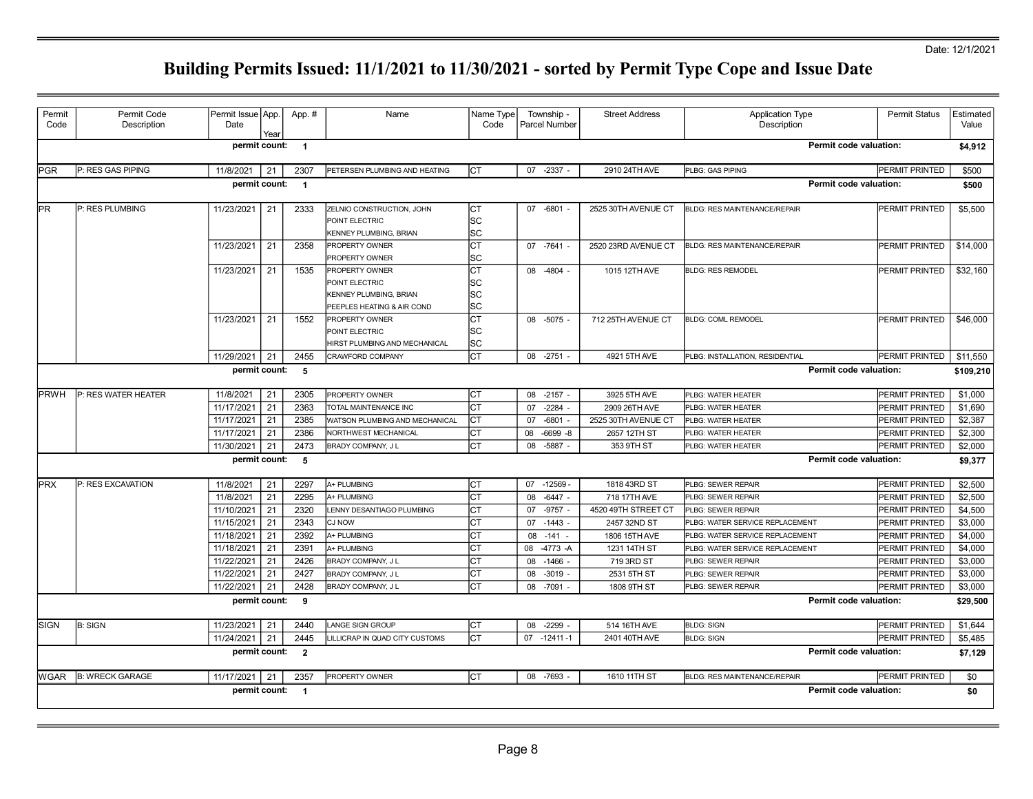| Permit       | Permit Code            | Permit Issue App. |      | App. #                   | Name                                                     | Name Type |    | Township -           | <b>Street Address</b> | <b>Application Type</b>             | <b>Permit Status</b>   | Estimated |
|--------------|------------------------|-------------------|------|--------------------------|----------------------------------------------------------|-----------|----|----------------------|-----------------------|-------------------------------------|------------------------|-----------|
| Code         | Description            | Date              | Year |                          |                                                          | Code      |    | <b>Parcel Number</b> |                       | Description                         |                        | Value     |
|              |                        | permit count: 1   |      |                          |                                                          |           |    |                      |                       |                                     | Permit code valuation: | \$4,912   |
| <b>IPGR</b>  | P: RES GAS PIPING      | 11/8/2021         | 21   | 2307                     | PETERSEN PLUMBING AND HEATING                            | СT        |    | 07 -2337             | 2910 24TH AVE         | PLBG: GAS PIPING                    | PERMIT PRINTED         | \$500     |
|              |                        | permit count:     |      | $\overline{\phantom{0}}$ |                                                          |           |    |                      |                       |                                     | Permit code valuation: | \$500     |
|              |                        |                   |      |                          |                                                          |           |    |                      |                       |                                     |                        |           |
| lPR.         | P: RES PLUMBING        | 11/23/2021        | 21   | 2333                     | ZELNIO CONSTRUCTION, JOHN                                | СT        |    | 07 -6801 -           | 2525 30TH AVENUE CT   | <b>BLDG: RES MAINTENANCE/REPAIR</b> | PERMIT PRINTED         | \$5,500   |
|              |                        |                   |      |                          | POINT ELECTRIC<br>KENNEY PLUMBING, BRIAN                 | SC<br>SC  |    |                      |                       |                                     |                        |           |
|              |                        | 11/23/2021        | 21   | 2358                     | PROPERTY OWNER                                           | СT        |    | 07 -7641 -           | 2520 23RD AVENUE CT   | <b>BLDG: RES MAINTENANCE/REPAIR</b> | PERMIT PRINTED         | \$14,000  |
|              |                        |                   |      |                          | PROPERTY OWNER                                           | SC        |    |                      |                       |                                     |                        |           |
|              |                        | 11/23/2021        | 21   | 1535                     | PROPERTY OWNER                                           | СT        |    | 08 -4804 -           | 1015 12TH AVE         | <b>BLDG: RES REMODEL</b>            | PERMIT PRINTED         | \$32,160  |
|              |                        |                   |      |                          | POINT ELECTRIC                                           | SC        |    |                      |                       |                                     |                        |           |
|              |                        |                   |      |                          | KENNEY PLUMBING, BRIAN                                   | SC        |    |                      |                       |                                     |                        |           |
|              |                        |                   |      |                          | PEEPLES HEATING & AIR COND                               | SC        |    |                      |                       |                                     |                        |           |
|              |                        | 11/23/2021        | 21   | 1552                     | PROPERTY OWNER                                           | СT        |    | $08 - 5075 -$        | 712 25TH AVENUE CT    | <b>BLDG: COML REMODEL</b>           | PERMIT PRINTED         | \$46,000  |
|              |                        |                   |      |                          | POINT ELECTRIC                                           | SC        |    |                      |                       |                                     |                        |           |
|              |                        |                   |      | 2455                     | HIRST PLUMBING AND MECHANICAL<br><b>CRAWFORD COMPANY</b> | SC<br>СT  | 08 | $-2751$              | 4921 5TH AVE          | PLBG: INSTALLATION, RESIDENTIAL     | PERMIT PRINTED         |           |
|              |                        | 11/29/2021        | 21   |                          |                                                          |           |    |                      |                       |                                     |                        | \$11,550  |
|              |                        | permit count:     |      | 5                        |                                                          |           |    |                      |                       |                                     | Permit code valuation: | \$109,210 |
| <b>IPRWH</b> | P: RES WATER HEATER    | 11/8/2021         | 21   | 2305                     | PROPERTY OWNER                                           | СT        | 08 | $-2157 -$            | 3925 5TH AVE          | PLBG: WATER HEATER                  | PERMIT PRINTED         | \$1,000   |
|              |                        | 11/17/2021        | 21   | 2363                     | TOTAL MAINTENANCE INC                                    | СT        | 07 | $-2284 -$            | 2909 26TH AVE         | PLBG: WATER HEATER                  | PERMIT PRINTED         | \$1,690   |
|              |                        | 11/17/2021        | 21   | 2385                     | WATSON PLUMBING AND MECHANICAL                           | СT        | 07 | $-6801 -$            | 2525 30TH AVENUE CT   | PLBG: WATER HEATER                  | PERMIT PRINTED         | \$2,387   |
|              |                        | 11/17/2021        | 21   | 2386                     | NORTHWEST MECHANICAL                                     | CТ        | 08 | $-6699 - 8$          | 2657 12TH ST          | PLBG: WATER HEATER                  | PERMIT PRINTED         | \$2,300   |
|              |                        | 11/30/2021        | 21   | 2473                     | BRADY COMPANY, J L                                       | СT        | 08 | $-5887 -$            | 353 9TH ST            | PLBG: WATER HEATER                  | PERMIT PRINTED         | \$2,000   |
|              |                        | permit count:     |      | $-5$                     |                                                          |           |    |                      |                       |                                     | Permit code valuation: | \$9,377   |
| <b>IPRX</b>  | P: RES EXCAVATION      | 11/8/2021         | 21   | 2297                     | A+ PLUMBING                                              | СT        |    | 07 -12569 -          | 1818 43RD ST          | PLBG: SEWER REPAIR                  | PERMIT PRINTED         | \$2,500   |
|              |                        | 11/8/2021         | 21   | 2295                     | A+ PLUMBING                                              | СT        | 08 | $-6447 -$            | 718 17TH AVE          | PLBG: SEWER REPAIR                  | PERMIT PRINTED         | \$2,500   |
|              |                        | 11/10/2021        | 21   | 2320                     | LENNY DESANTIAGO PLUMBING                                | CТ        | 07 | $-9757 -$            | 4520 49TH STREET CT   | PLBG: SEWER REPAIR                  | PERMIT PRINTED         | \$4,500   |
|              |                        | 11/15/2021        | 21   | 2343                     | CJ NOW                                                   | СT        | 07 | $-1443$              | 2457 32ND ST          | PLBG: WATER SERVICE REPLACEMENT     | PERMIT PRINTED         | \$3,000   |
|              |                        | 11/18/2021        | 21   | 2392                     | A+ PLUMBING                                              | СT        | 08 | $-141 -$             | 1806 15TH AVE         | PLBG: WATER SERVICE REPLACEMENT     | PERMIT PRINTED         | \$4,000   |
|              |                        | 11/18/2021        | 21   | 2391                     | A+ PLUMBING                                              | СT        | 08 | $-4773 - A$          | 1231 14TH ST          | PLBG: WATER SERVICE REPLACEMENT     | PERMIT PRINTED         | \$4,000   |
|              |                        | 11/22/2021        | 21   | 2426                     | BRADY COMPANY, J L                                       | СT        | 08 | $-1466$ -            | 719 3RD ST            | PLBG: SEWER REPAIR                  | PERMIT PRINTED         | \$3,000   |
|              |                        | 11/22/2021        | 21   | 2427                     | BRADY COMPANY, J L                                       | CТ        | 08 | $-3019 -$            | 2531 5TH ST           | PLBG: SEWER REPAIR                  | PERMIT PRINTED         | \$3,000   |
|              |                        | 11/22/2021        | 21   | 2428                     | BRADY COMPANY, J L                                       | CT        | 08 | $-7091 -$            | 1808 9TH ST           | PLBG: SEWER REPAIR                  | PERMIT PRINTED         | \$3,000   |
|              |                        | permit count:     |      | - 9                      |                                                          |           |    |                      |                       |                                     | Permit code valuation: | \$29,500  |
| <b>ISIGN</b> | <b>B: SIGN</b>         | 11/23/2021        | 21   | 2440                     | LANGE SIGN GROUP                                         | CТ        | 08 | $-2299$              | 514 16TH AVE          | <b>BLDG: SIGN</b>                   | PERMIT PRINTED         | \$1,644   |
|              |                        | 11/24/2021        | 21   | 2445                     | LILLICRAP IN QUAD CITY CUSTOMS                           | СT        | 07 | $-12411 - 1$         | 2401 40TH AVE         | <b>BLDG: SIGN</b>                   | PERMIT PRINTED         | \$5,485   |
|              |                        | permit count:     |      | $\overline{2}$           |                                                          |           |    |                      |                       |                                     | Permit code valuation: | \$7,129   |
| lWGAR.       | <b>B: WRECK GARAGE</b> | 11/17/2021        | 21   | 2357                     | PROPERTY OWNER                                           | <b>CT</b> |    | 08 -7693             | 1610 11TH ST          | <b>BLDG: RES MAINTENANCE/REPAIR</b> | PERMIT PRINTED         | \$0       |
|              |                        | permit count: 1   |      |                          |                                                          |           |    |                      |                       |                                     | Permit code valuation: | \$0       |
|              |                        |                   |      |                          |                                                          |           |    |                      |                       |                                     |                        |           |